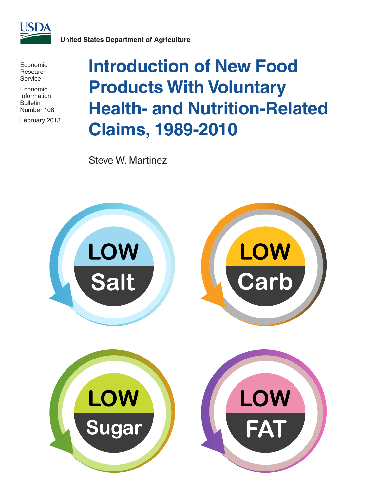

**United States Department of Agriculture**

Economic Research Service

Economic Information Bulletin Number 108

February 2013

# **Introduction of New Food Products With Voluntary Health- and Nutrition-Related Claims, 1989-2010**

Steve W. Martinez

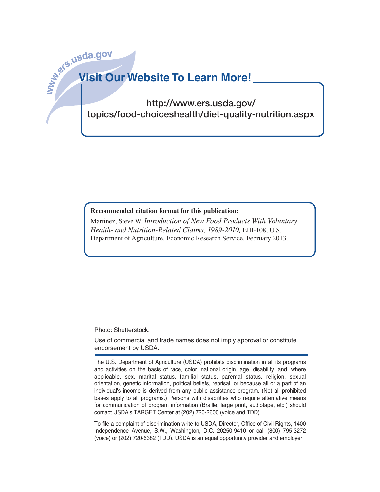# **www.ers.usda.go<sup>v</sup> Visit Our Website To Learn More!**

http://www.ers.usda.gov/ topics/food-choiceshealth/diet-quality-nutrition.aspx

#### **Recommended citation format for this publication:**

Martinez, Steve W. *Introduction of New Food Products With Voluntary Health- and Nutrition-Related Claims, 1989-2010,* EIB-108, U.S. Department of Agriculture, Economic Research Service, February 2013.

Photo: Shutterstock.

Use of commercial and trade names does not imply approval or constitute endorsement by USDA.

The U.S. Department of Agriculture (USDA) prohibits discrimination in all its programs and activities on the basis of race, color, national origin, age, disability, and, where applicable, sex, marital status, familial status, parental status, religion, sexual orientation, genetic information, political beliefs, reprisal, or because all or a part of an individual's income is derived from any public assistance program. (Not all prohibited bases apply to all programs.) Persons with disabilities who require alternative means for communication of program information (Braille, large print, audiotape, etc.) should contact USDA's TARGET Center at (202) 720-2600 (voice and TDD).

To file a complaint of discrimination write to USDA, Director, Office of Civil Rights, 1400 Independence Avenue, S.W., Washington, D.C. 20250-9410 or call (800) 795-3272 (voice) or (202) 720-6382 (TDD). USDA is an equal opportunity provider and employer.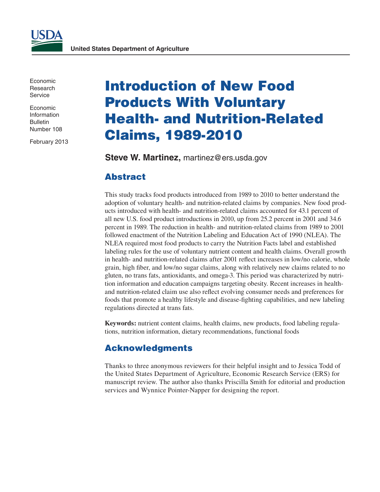Economic Research **Service** 

Economic Information Bulletin Number 108

February 2013

## Introduction of New Food Products With Voluntary Health- and Nutrition-Related Claims, 1989-2010

**Steve W. Martinez,** martinez@ers.usda.gov

## Abstract

This study tracks food products introduced from 1989 to 2010 to better understand the adoption of voluntary health- and nutrition-related claims by companies. New food products introduced with health- and nutrition-related claims accounted for 43.1 percent of all new U.S. food product introductions in 2010, up from 25.2 percent in 2001 and 34.6 percent in 1989. The reduction in health- and nutrition-related claims from 1989 to 2001 followed enactment of the Nutrition Labeling and Education Act of 1990 (NLEA). The NLEA required most food products to carry the Nutrition Facts label and established labeling rules for the use of voluntary nutrient content and health claims. Overall growth in health- and nutrition-related claims after 2001 reflect increases in low/no calorie, whole grain, high fiber, and low/no sugar claims, along with relatively new claims related to no gluten, no trans fats, antioxidants, and omega-3. This period was characterized by nutrition information and education campaigns targeting obesity. Recent increases in healthand nutrition-related claim use also reflect evolving consumer needs and preferences for foods that promote a healthy lifestyle and disease-fighting capabilities, and new labeling regulations directed at trans fats.

**Keywords:** nutrient content claims, health claims, new products, food labeling regulations, nutrition information, dietary recommendations, functional foods

## Acknowledgments

Thanks to three anonymous reviewers for their helpful insight and to Jessica Todd of the United States Department of Agriculture, Economic Research Service (ERS) for manuscript review. The author also thanks Priscilla Smith for editorial and production services and Wynnice Pointer-Napper for designing the report.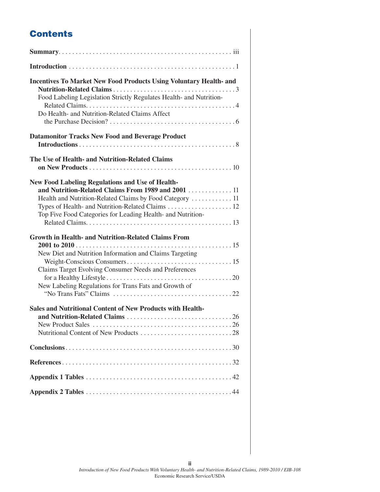## **Contents**

| <b>Incentives To Market New Food Products Using Voluntary Health- and</b><br>Food Labeling Legislation Strictly Regulates Health- and Nutrition-<br>Do Health- and Nutrition-Related Claims Affect                                        |
|-------------------------------------------------------------------------------------------------------------------------------------------------------------------------------------------------------------------------------------------|
| <b>Datamonitor Tracks New Food and Beverage Product</b>                                                                                                                                                                                   |
| The Use of Health- and Nutrition-Related Claims                                                                                                                                                                                           |
| <b>New Food Labeling Regulations and Use of Health-</b><br>and Nutrition-Related Claims From 1989 and 2001  11<br>Health and Nutrition-Related Claims by Food Category  11<br>Top Five Food Categories for Leading Health- and Nutrition- |
| <b>Growth in Health- and Nutrition-Related Claims From</b><br>New Diet and Nutrition Information and Claims Targeting<br>Claims Target Evolving Consumer Needs and Preferences<br>New Labeling Regulations for Trans Fats and Growth of   |
| <b>Sales and Nutritional Content of New Products with Health-</b>                                                                                                                                                                         |
|                                                                                                                                                                                                                                           |
|                                                                                                                                                                                                                                           |
|                                                                                                                                                                                                                                           |
|                                                                                                                                                                                                                                           |

**ii**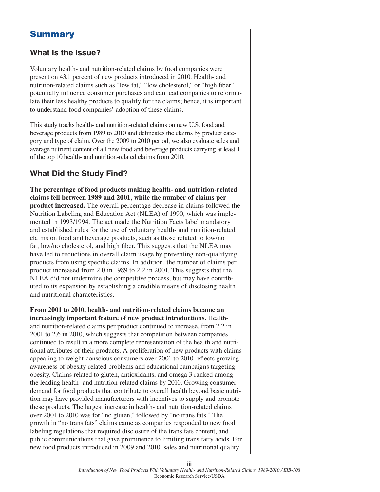## **Summary**

## **What Is the Issue?**

Voluntary health- and nutrition-related claims by food companies were present on 43.1 percent of new products introduced in 2010. Health- and nutrition-related claims such as "low fat," "low cholesterol," or "high fiber" potentially influence consumer purchases and can lead companies to reformulate their less healthy products to qualify for the claims; hence, it is important to understand food companies' adoption of these claims.

This study tracks health- and nutrition-related claims on new U.S. food and beverage products from 1989 to 2010 and delineates the claims by product category and type of claim. Over the 2009 to 2010 period, we also evaluate sales and average nutrient content of all new food and beverage products carrying at least 1 of the top 10 health- and nutrition-related claims from 2010.

### **What Did the Study Find?**

**The percentage of food products making health- and nutrition-related claims fell between 1989 and 2001, while the number of claims per product increased.** The overall percentage decrease in claims followed the Nutrition Labeling and Education Act (NLEA) of 1990, which was implemented in 1993/1994. The act made the Nutrition Facts label mandatory and established rules for the use of voluntary health- and nutrition-related claims on food and beverage products, such as those related to low/no fat, low/no cholesterol, and high fiber. This suggests that the NLEA may have led to reductions in overall claim usage by preventing non-qualifying products from using specific claims. In addition, the number of claims per product increased from 2.0 in 1989 to 2.2 in 2001. This suggests that the NLEA did not undermine the competitive process, but may have contributed to its expansion by establishing a credible means of disclosing health and nutritional characteristics.

**From 2001 to 2010, health- and nutrition-related claims became an increasingly important feature of new product introductions.** Healthand nutrition-related claims per product continued to increase, from 2.2 in 2001 to 2.6 in 2010, which suggests that competition between companies continued to result in a more complete representation of the health and nutritional attributes of their products. A proliferation of new products with claims appealing to weight-conscious consumers over 2001 to 2010 reflects growing awareness of obesity-related problems and educational campaigns targeting obesity. Claims related to gluten, antioxidants, and omega-3 ranked among the leading health- and nutrition-related claims by 2010. Growing consumer demand for food products that contribute to overall health beyond basic nutrition may have provided manufacturers with incentives to supply and promote these products. The largest increase in health- and nutrition-related claims over 2001 to 2010 was for "no gluten," followed by "no trans fats." The growth in "no trans fats" claims came as companies responded to new food labeling regulations that required disclosure of the trans fats content, and public communications that gave prominence to limiting trans fatty acids. For new food products introduced in 2009 and 2010, sales and nutritional quality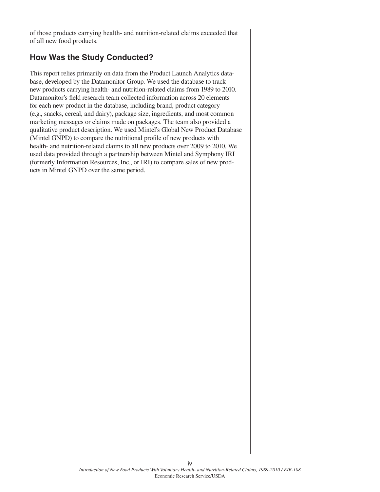of those products carrying health- and nutrition-related claims exceeded that of all new food products.

## **How Was the Study Conducted?**

This report relies primarily on data from the Product Launch Analytics database, developed by the Datamonitor Group. We used the database to track new products carrying health- and nutrition-related claims from 1989 to 2010. Datamonitor's field research team collected information across 20 elements for each new product in the database, including brand, product category (e.g., snacks, cereal, and dairy), package size, ingredients, and most common marketing messages or claims made on packages. The team also provided a qualitative product description. We used Mintel's Global New Product Database (Mintel GNPD) to compare the nutritional profile of new products with health- and nutrition-related claims to all new products over 2009 to 2010. We used data provided through a partnership between Mintel and Symphony IRI (formerly Information Resources, Inc., or IRI) to compare sales of new products in Mintel GNPD over the same period.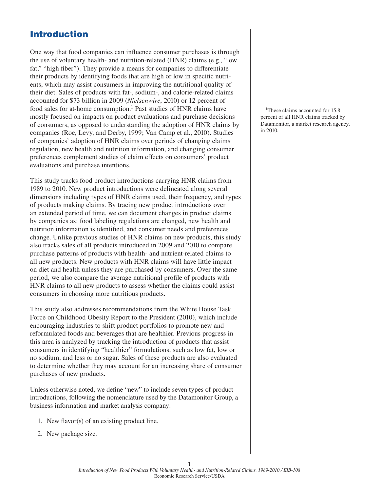## Introduction

One way that food companies can influence consumer purchases is through the use of voluntary health- and nutrition-related (HNR) claims (e.g., "low fat," "high fiber"). They provide a means for companies to differentiate their products by identifying foods that are high or low in specific nutrients, which may assist consumers in improving the nutritional quality of their diet. Sales of products with fat-, sodium-, and calorie-related claims accounted for \$73 billion in 2009 (*Nielsenwire*, 2010) or 12 percent of food sales for at-home consumption.<sup>1</sup> Past studies of HNR claims have mostly focused on impacts on product evaluations and purchase decisions of consumers, as opposed to understanding the adoption of HNR claims by companies (Roe, Levy, and Derby, 1999; Van Camp et al., 2010). Studies of companies' adoption of HNR claims over periods of changing claims regulation, new health and nutrition information, and changing consumer preferences complement studies of claim effects on consumers' product evaluations and purchase intentions.

This study tracks food product introductions carrying HNR claims from 1989 to 2010. New product introductions were delineated along several dimensions including types of HNR claims used, their frequency, and types of products making claims. By tracing new product introductions over an extended period of time, we can document changes in product claims by companies as: food labeling regulations are changed, new health and nutrition information is identified, and consumer needs and preferences change. Unlike previous studies of HNR claims on new products, this study also tracks sales of all products introduced in 2009 and 2010 to compare purchase patterns of products with health- and nutrient-related claims to all new products. New products with HNR claims will have little impact on diet and health unless they are purchased by consumers. Over the same period, we also compare the average nutritional profile of products with HNR claims to all new products to assess whether the claims could assist consumers in choosing more nutritious products.

This study also addresses recommendations from the White House Task Force on Childhood Obesity Report to the President (2010), which include encouraging industries to shift product portfolios to promote new and reformulated foods and beverages that are healthier. Previous progress in this area is analyzed by tracking the introduction of products that assist consumers in identifying "healthier" formulations, such as low fat, low or no sodium, and less or no sugar. Sales of these products are also evaluated to determine whether they may account for an increasing share of consumer purchases of new products.

Unless otherwise noted, we define "new" to include seven types of product introductions, following the nomenclature used by the Datamonitor Group, a business information and market analysis company:

- 1. New flavor(s) of an existing product line.
- 2. New package size.

<sup>1</sup>These claims accounted for 15.8 percent of all HNR claims tracked by Datamonitor, a market research agency, in 2010.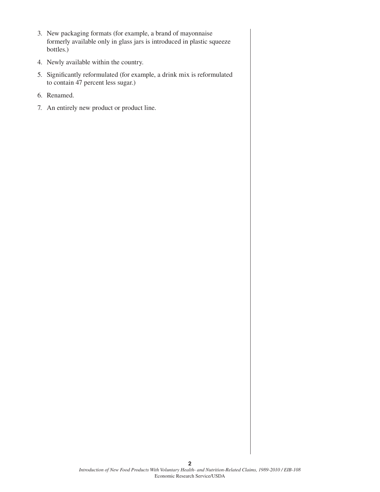- 3. New packaging formats (for example, a brand of mayonnaise formerly available only in glass jars is introduced in plastic squeeze bottles.)
- 4. Newly available within the country.
- 5. Significantly reformulated (for example, a drink mix is reformulated to contain 47 percent less sugar.)
- 6. Renamed.
- 7. An entirely new product or product line.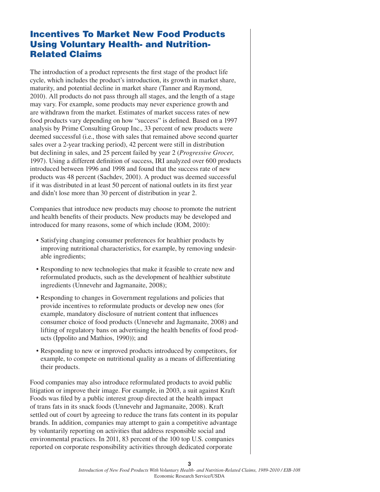## Incentives To Market New Food Products Using Voluntary Health- and Nutrition-Related Claims

The introduction of a product represents the first stage of the product life cycle, which includes the product's introduction, its growth in market share, maturity, and potential decline in market share (Tanner and Raymond, 2010). All products do not pass through all stages, and the length of a stage may vary. For example, some products may never experience growth and are withdrawn from the market. Estimates of market success rates of new food products vary depending on how "success" is defined. Based on a 1997 analysis by Prime Consulting Group Inc., 33 percent of new products were deemed successful (i.e., those with sales that remained above second quarter sales over a 2-year tracking period), 42 percent were still in distribution but declining in sales, and 25 percent failed by year 2 (*Progressive Grocer*, 1997). Using a different definition of success, IRI analyzed over 600 products introduced between 1996 and 1998 and found that the success rate of new products was 48 percent (Sachdev, 2001). A product was deemed successful if it was distributed in at least 50 percent of national outlets in its first year and didn't lose more than 30 percent of distribution in year 2.

Companies that introduce new products may choose to promote the nutrient and health benefits of their products. New products may be developed and introduced for many reasons, some of which include (IOM, 2010):

- Satisfying changing consumer preferences for healthier products by improving nutritional characteristics, for example, by removing undesirable ingredients;
- Responding to new technologies that make it feasible to create new and reformulated products, such as the development of healthier substitute ingredients (Unnevehr and Jagmanaite, 2008);
- Responding to changes in Government regulations and policies that provide incentives to reformulate products or develop new ones (for example, mandatory disclosure of nutrient content that influences consumer choice of food products (Unnevehr and Jagmanaite, 2008) and lifting of regulatory bans on advertising the health benefits of food products (Ippolito and Mathios, 1990)); and
- • Responding to new or improved products introduced by competitors, for example, to compete on nutritional quality as a means of differentiating their products.

Food companies may also introduce reformulated products to avoid public litigation or improve their image. For example, in 2003, a suit against Kraft Foods was filed by a public interest group directed at the health impact of trans fats in its snack foods (Unnevehr and Jagmanaite, 2008). Kraft settled out of court by agreeing to reduce the trans fats content in its popular brands. In addition, companies may attempt to gain a competitive advantage by voluntarily reporting on activities that address responsible social and environmental practices. In 2011, 83 percent of the 100 top U.S. companies reported on corporate responsibility activities through dedicated corporate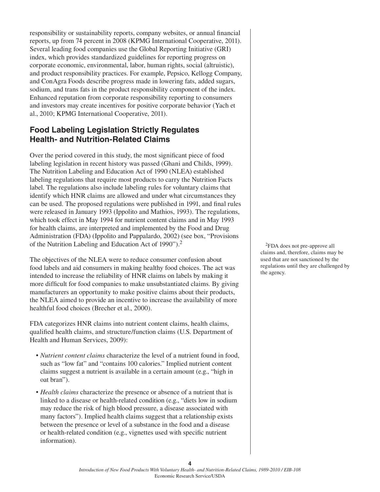responsibility or sustainability reports, company websites, or annual financial reports, up from 74 percent in 2008 (KPMG International Cooperative, 2011). Several leading food companies use the Global Reporting Initiative (GRI) index, which provides standardized guidelines for reporting progress on corporate economic, environmental, labor, human rights, social (altruistic), and product responsibility practices. For example, Pepsico, Kellogg Company, and ConAgra Foods describe progress made in lowering fats, added sugars, sodium, and trans fats in the product responsibility component of the index. Enhanced reputation from corporate responsibility reporting to consumers and investors may create incentives for positive corporate behavior (Yach et al., 2010; KPMG International Cooperative, 2011).

## **Food Labeling Legislation Strictly Regulates Health- and Nutrition-Related Claims**

Over the period covered in this study, the most significant piece of food labeling legislation in recent history was passed (Ghani and Childs, 1999). The Nutrition Labeling and Education Act of 1990 (NLEA) established labeling regulations that require most products to carry the Nutrition Facts label. The regulations also include labeling rules for voluntary claims that identify which HNR claims are allowed and under what circumstances they can be used. The proposed regulations were published in 1991, and final rules were released in January 1993 (Ippolito and Mathios, 1993). The regulations, which took effect in May 1994 for nutrient content claims and in May 1993 for health claims, are interpreted and implemented by the Food and Drug Administration (FDA) (Ippolito and Pappalardo, 2002) (see box, "Provisions of the Nutrition Labeling and Education Act of 1990").2

The objectives of the NLEA were to reduce consumer confusion about food labels and aid consumers in making healthy food choices. The act was intended to increase the reliability of HNR claims on labels by making it more difficult for food companies to make unsubstantiated claims. By giving manufacturers an opportunity to make positive claims about their products, the NLEA aimed to provide an incentive to increase the availability of more healthful food choices (Brecher et al., 2000).

FDA categorizes HNR claims into nutrient content claims, health claims, qualified health claims, and structure/function claims (U.S. Department of Health and Human Services, 2009):

- • *Nutrient content claims* characterize the level of a nutrient found in food, such as "low fat" and "contains 100 calories." Implied nutrient content claims suggest a nutrient is available in a certain amount (e.g., "high in oat bran").
- *Health claims* characterize the presence or absence of a nutrient that is linked to a disease or health-related condition (e.g., "diets low in sodium may reduce the risk of high blood pressure, a disease associated with many factors"). Implied health claims suggest that a relationship exists between the presence or level of a substance in the food and a disease or health-related condition (e.g., vignettes used with specific nutrient information).

2FDA does not pre-approve all claims and, therefore, claims may be used that are not sanctioned by the regulations until they are challenged by the agency.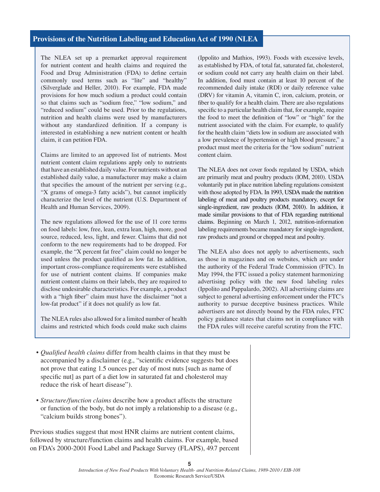#### **Provisions of the Nutrition Labeling and Education Act of 1990 (NLEA**

The NLEA set up a premarket approval requirement for nutrient content and health claims and required the Food and Drug Administration (FDA) to define certain commonly used terms such as "lite" and "healthy" (Silverglade and Heller, 2010). For example, FDA made provisions for how much sodium a product could contain so that claims such as "sodium free," "low sodium," and "reduced sodium" could be used. Prior to the regulations, nutrition and health claims were used by manufacturers without any standardized definition. If a company is interested in establishing a new nutrient content or health claim, it can petition FDA.

Claims are limited to an approved list of nutrients. Most nutrient content claim regulations apply only to nutrients that have an established daily value. For nutrients without an established daily value, a manufacturer may make a claim that specifies the amount of the nutrient per serving (e.g., "X grams of omega-3 fatty acids"), but cannot implicitly characterize the level of the nutrient (U.S. Department of Health and Human Services, 2009).

The new regulations allowed for the use of 11 core terms on food labels: low, free, lean, extra lean, high, more, good source, reduced, less, light, and fewer. Claims that did not conform to the new requirements had to be dropped. For example, the "X percent fat free" claim could no longer be used unless the product qualified as low fat. In addition, important cross-compliance requirements were established for use of nutrient content claims. If companies make nutrient content claims on their labels, they are required to disclose undesirable characteristics. For example, a product with a "high fiber" claim must have the disclaimer "not a low-fat product" if it does not qualify as low fat.

The NLEA rules also allowed for a limited number of health claims and restricted which foods could make such claims (Ippolito and Mathios, 1993). Foods with excessive levels, as established by FDA, of total fat, saturated fat, cholesterol, or sodium could not carry any health claim on their label. In addition, food must contain at least 10 percent of the recommended daily intake (RDI) or daily reference value (DRV) for vitamin A, vitamin C, iron, calcium, protein, or fiber to qualify for a health claim. There are also regulations specific to a particular health claim that, for example, require the food to meet the definition of "low" or "high" for the nutrient associated with the claim. For example, to qualify for the health claim "diets low in sodium are associated with a low prevalence of hypertension or high blood pressure," a product must meet the criteria for the "low sodium" nutrient content claim.

The NLEA does not cover foods regulated by USDA, which are primarily meat and poultry products (IOM, 2010). USDA voluntarily put in place nutrition labeling regulations consistent with those adopted by FDA. In 1993, USDA made the nutrition labeling of meat and poultry products mandatory, except for single-ingredient, raw products (IOM, 2010). In addition, it made similar provisions to that of FDA regarding nutritional claims. Beginning on March 1, 2012, nutrition-information labeling requirements became mandatory for single-ingredient, raw products and ground or chopped meat and poultry.

The NLEA also does not apply to advertisements, such as those in magazines and on websites, which are under the authority of the Federal Trade Commission (FTC). In May 1994, the FTC issued a policy statement harmonizing advertising policy with the new food labeling rules (Ippolito and Pappalardo, 2002). All advertising claims are subject to general advertising enforcement under the FTC's authority to pursue deceptive business practices. While advertisers are not directly bound by the FDA rules, FTC policy guidance states that claims not in compliance with the FDA rules will receive careful scrutiny from the FTC.

- • *Qualified health claims* differ from health claims in that they must be accompanied by a disclaimer (e.g., "scientific evidence suggests but does not prove that eating 1.5 ounces per day of most nuts [such as name of specific nut] as part of a diet low in saturated fat and cholesterol may reduce the risk of heart disease").
- • *Structure/function claims* describe how a product affects the structure or function of the body, but do not imply a relationship to a disease (e.g., "calcium builds strong bones").

Previous studies suggest that most HNR claims are nutrient content claims, followed by structure/function claims and health claims. For example, based on FDA's 2000-2001 Food Label and Package Survey (FLAPS), 49.7 percent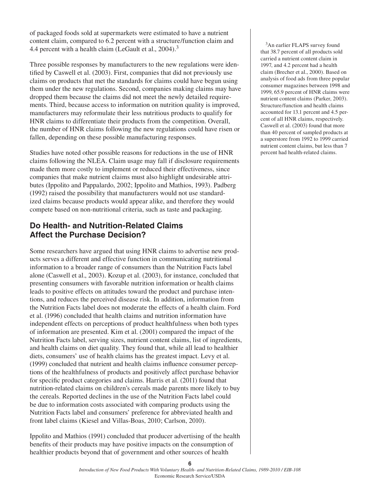of packaged foods sold at supermarkets were estimated to have a nutrient content claim, compared to 6.2 percent with a structure/function claim and 4.4 percent with a health claim (LeGault et al., 2004).<sup>3</sup>

Three possible responses by manufacturers to the new regulations were identified by Caswell et al. (2003). First, companies that did not previously use claims on products that met the standards for claims could have begun using them under the new regulations. Second, companies making claims may have dropped them because the claims did not meet the newly detailed requirements. Third, because access to information on nutrition quality is improved, manufacturers may reformulate their less nutritious products to qualify for HNR claims to differentiate their products from the competition. Overall, the number of HNR claims following the new regulations could have risen or fallen, depending on these possible manufacturing responses.

Studies have noted other possible reasons for reductions in the use of HNR claims following the NLEA. Claim usage may fall if disclosure requirements made them more costly to implement or reduced their effectiveness, since companies that make nutrient claims must also highlight undesirable attributes (Ippolito and Pappalardo, 2002; Ippolito and Mathios, 1993). Padberg (1992) raised the possibility that manufacturers would not use standardized claims because products would appear alike, and therefore they would compete based on non-nutritional criteria, such as taste and packaging.

## **Do Health- and Nutrition-Related Claims Affect the Purchase Decision?**

Some researchers have argued that using HNR claims to advertise new products serves a different and effective function in communicating nutritional information to a broader range of consumers than the Nutrition Facts label alone (Caswell et al., 2003). Kozup et al. (2003), for instance, concluded that presenting consumers with favorable nutrition information or health claims leads to positive effects on attitudes toward the product and purchase intentions, and reduces the perceived disease risk. In addition, information from the Nutrition Facts label does not moderate the effects of a health claim. Ford et al. (1996) concluded that health claims and nutrition information have independent effects on perceptions of product healthfulness when both types of information are presented. Kim et al. (2001) compared the impact of the Nutrition Facts label, serving sizes, nutrient content claims, list of ingredients, and health claims on diet quality. They found that, while all lead to healthier diets, consumers' use of health claims has the greatest impact. Levy et al. (1999) concluded that nutrient and health claims influence consumer perceptions of the healthfulness of products and positively affect purchase behavior for specific product categories and claims. Harris et al. (2011) found that nutrition-related claims on children's cereals made parents more likely to buy the cereals. Reported declines in the use of the Nutrition Facts label could be due to information costs associated with comparing products using the Nutrition Facts label and consumers' preference for abbreviated health and front label claims (Kiesel and Villas-Boas, 2010; Carlson, 2010).

Ippolito and Mathios (1991) concluded that producer advertising of the health benefits of their products may have positive impacts on the consumption of healthier products beyond that of government and other sources of health

<sup>3</sup>An earlier FLAPS survey found that 38.7 percent of all products sold carried a nutrient content claim in 1997, and 4.2 percent had a health claim (Brecher et al., 2000). Based on analysis of food ads from three popular consumer magazines between 1998 and 1999, 65.9 percent of HNR claims were nutrient content claims (Parker, 2003). Structure/function and health claims accounted for 13.1 percent and 4.5 percent of all HNR claims, respectively. Caswell et al. (2003) found that more than 40 percent of sampled products at a superstore from 1992 to 1999 carried nutrient content claims, but less than 7 percent had health-related claims.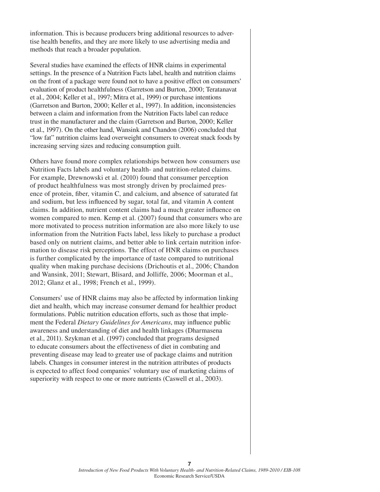information. This is because producers bring additional resources to advertise health benefits, and they are more likely to use advertising media and methods that reach a broader population.

Several studies have examined the effects of HNR claims in experimental settings. In the presence of a Nutrition Facts label, health and nutrition claims on the front of a package were found not to have a positive effect on consumers' evaluation of product healthfulness (Garretson and Burton, 2000; Teratanavat et al., 2004; Keller et al., 1997; Mitra et al., 1999) or purchase intentions (Garretson and Burton, 2000; Keller et al., 1997). In addition, inconsistencies between a claim and information from the Nutrition Facts label can reduce trust in the manufacturer and the claim (Garretson and Burton, 2000; Keller et al., 1997). On the other hand, Wansink and Chandon (2006) concluded that "low fat" nutrition claims lead overweight consumers to overeat snack foods by increasing serving sizes and reducing consumption guilt.

Others have found more complex relationships between how consumers use Nutrition Facts labels and voluntary health- and nutrition-related claims. For example, Drewnowski et al. (2010) found that consumer perception of product healthfulness was most strongly driven by proclaimed presence of protein, fiber, vitamin C, and calcium, and absence of saturated fat and sodium, but less influenced by sugar, total fat, and vitamin A content claims. In addition, nutrient content claims had a much greater influence on women compared to men. Kemp et al. (2007) found that consumers who are more motivated to process nutrition information are also more likely to use information from the Nutrition Facts label, less likely to purchase a product based only on nutrient claims, and better able to link certain nutrition information to disease risk perceptions. The effect of HNR claims on purchases is further complicated by the importance of taste compared to nutritional quality when making purchase decisions (Drichoutis et al., 2006; Chandon and Wansink, 2011; Stewart, Blisard, and Jolliffe, 2006; Moorman et al., 2012; Glanz et al., 1998; French et al., 1999).

Consumers' use of HNR claims may also be affected by information linking diet and health, which may increase consumer demand for healthier product formulations. Public nutrition education efforts, such as those that implement the Federal *Dietary Guidelines for Americans*, may influence public awareness and understanding of diet and health linkages (Dharmasena et al., 2011). Szykman et al. (1997) concluded that programs designed to educate consumers about the effectiveness of diet in combating and preventing disease may lead to greater use of package claims and nutrition labels. Changes in consumer interest in the nutrition attributes of products is expected to affect food companies' voluntary use of marketing claims of superiority with respect to one or more nutrients (Caswell et al., 2003).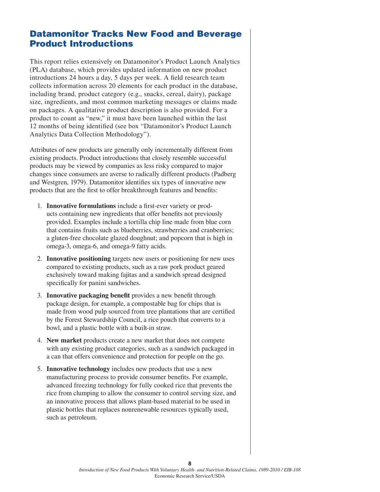## Datamonitor Tracks New Food and Beverage Product Introductions

This report relies extensively on Datamonitor's Product Launch Analytics (PLA) database, which provides updated information on new product introductions 24 hours a day, 5 days per week. A field research team collects information across 20 elements for each product in the database, including brand, product category (e.g., snacks, cereal, dairy), package size, ingredients, and most common marketing messages or claims made on packages. A qualitative product description is also provided. For a product to count as "new," it must have been launched within the last 12 months of being identified (see box "Datamonitor's Product Launch Analytics Data Collection Methodology").

Attributes of new products are generally only incrementally different from existing products. Product introductions that closely resemble successful products may be viewed by companies as less risky compared to major changes since consumers are averse to radically different products (Padberg and Westgren, 1979). Datamonitor identifies six types of innovative new products that are the first to offer breakthrough features and benefits:

- 1. **Innovative formulations** include a first-ever variety or products containing new ingredients that offer benefits not previously provided. Examples include a tortilla chip line made from blue corn that contains fruits such as blueberries, strawberries and cranberries; a gluten-free chocolate glazed doughnut; and popcorn that is high in omega-3, omega-6, and omega-9 fatty acids.
- 2. **Innovative positioning** targets new users or positioning for new uses compared to existing products, such as a raw pork product geared exclusively toward making fajitas and a sandwich spread designed specifically for panini sandwiches.
- 3. **Innovative packaging benefit** provides a new benefit through package design, for example, a compostable bag for chips that is made from wood pulp sourced from tree plantations that are certified by the Forest Stewardship Council, a rice pouch that converts to a bowl, and a plastic bottle with a built-in straw.
- 4. **New market** products create a new market that does not compete with any existing product categories, such as a sandwich packaged in a can that offers convenience and protection for people on the go.
- 5. **Innovative technology** includes new products that use a new manufacturing process to provide consumer benefits. For example, advanced freezing technology for fully cooked rice that prevents the rice from clumping to allow the consumer to control serving size, and an innovative process that allows plant-based material to be used in plastic bottles that replaces nonrenewable resources typically used, such as petroleum.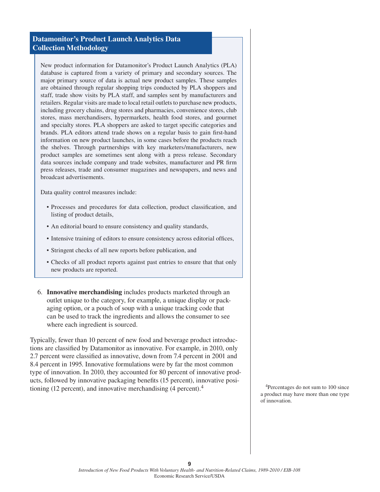#### **Datamonitor's Product Launch Analytics Data Collection Methodology**

New product information for Datamonitor's Product Launch Analytics (PLA) database is captured from a variety of primary and secondary sources. The major primary source of data is actual new product samples. These samples are obtained through regular shopping trips conducted by PLA shoppers and staff, trade show visits by PLA staff, and samples sent by manufacturers and retailers. Regular visits are made to local retail outlets to purchase new products, including grocery chains, drug stores and pharmacies, convenience stores, club stores, mass merchandisers, hypermarkets, health food stores, and gourmet and specialty stores. PLA shoppers are asked to target specific categories and brands. PLA editors attend trade shows on a regular basis to gain first-hand information on new product launches, in some cases before the products reach the shelves. Through partnerships with key marketers/manufacturers, new product samples are sometimes sent along with a press release. Secondary data sources include company and trade websites, manufacturer and PR firm press releases, trade and consumer magazines and newspapers, and news and broadcast advertisements.

Data quality control measures include:

- • Processes and procedures for data collection, product classification, and listing of product details,
- An editorial board to ensure consistency and quality standards,
- Intensive training of editors to ensure consistency across editorial offices,
- Stringent checks of all new reports before publication, and
- • Checks of all product reports against past entries to ensure that that only new products are reported.
- 6. **Innovative merchandising** includes products marketed through an outlet unique to the category, for example, a unique display or packaging option, or a pouch of soup with a unique tracking code that can be used to track the ingredients and allows the consumer to see where each ingredient is sourced.

Typically, fewer than 10 percent of new food and beverage product introductions are classified by Datamonitor as innovative. For example, in 2010, only 2.7 percent were classified as innovative, down from 7.4 percent in 2001 and 8.4 percent in 1995. Innovative formulations were by far the most common type of innovation. In 2010, they accounted for 80 percent of innovative products, followed by innovative packaging benefits (15 percent), innovative positioning (12 percent), and innovative merchandising  $(4$  percent).<sup>4</sup> <sup>4</sup>Percentages do not sum to 100 since

a product may have more than one type of innovation.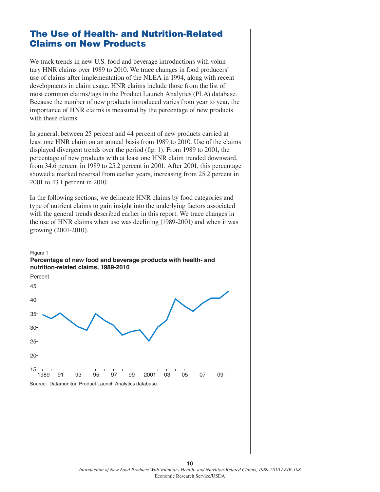## The Use of Health- and Nutrition-Related Claims on New Products

We track trends in new U.S. food and beverage introductions with voluntary HNR claims over 1989 to 2010. We trace changes in food producers' use of claims after implementation of the NLEA in 1994, along with recent developments in claim usage. HNR claims include those from the list of most common claims/tags in the Product Launch Analytics (PLA) database. Because the number of new products introduced varies from year to year, the importance of HNR claims is measured by the percentage of new products with these claims.

In general, between 25 percent and 44 percent of new products carried at least one HNR claim on an annual basis from 1989 to 2010. Use of the claims displayed divergent trends over the period (fig. 1). From 1989 to 2001, the percentage of new products with at least one HNR claim trended downward, from 34.6 percent in 1989 to 25.2 percent in 2001. After 2001, this percentage showed a marked reversal from earlier years, increasing from 25.2 percent in 2001 to 43.1 percent in 2010.

In the following sections, we delineate HNR claims by food categories and type of nutrient claims to gain insight into the underlying factors associated with the general trends described earlier in this report. We trace changes in the use of HNR claims when use was declining (1989-2001) and when it was growing (2001-2010).

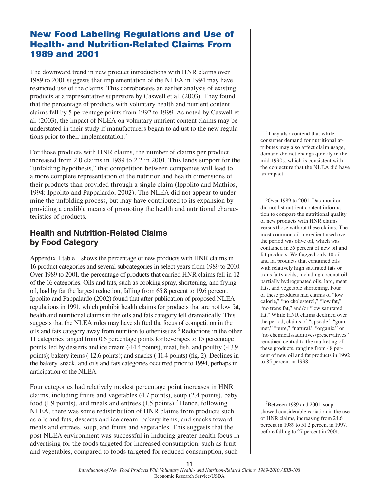## New Food Labeling Regulations and Use of Health- and Nutrition-Related Claims From 1989 and 2001

The downward trend in new product introductions with HNR claims over 1989 to 2001 suggests that implementation of the NLEA in 1994 may have restricted use of the claims. This corroborates an earlier analysis of existing products at a representative superstore by Caswell et al. (2003). They found that the percentage of products with voluntary health and nutrient content claims fell by 5 percentage points from 1992 to 1999. As noted by Caswell et al. (2003), the impact of NLEA on voluntary nutrient content claims may be understated in their study if manufacturers began to adjust to the new regulations prior to their implementation.<sup>5</sup>

For those products with HNR claims, the number of claims per product increased from 2.0 claims in 1989 to 2.2 in 2001. This lends support for the "unfolding hypothesis," that competition between companies will lead to a more complete representation of the nutrition and health dimensions of their products than provided through a single claim (Ippolito and Mathios, 1994; Ippolito and Pappalardo, 2002). The NLEA did not appear to undermine the unfolding process, but may have contributed to its expansion by providing a credible means of promoting the health and nutritional characteristics of products.

## **Health and Nutrition-Related Claims by Food Category**

Appendix 1 table 1 shows the percentage of new products with HNR claims in 16 product categories and several subcategories in select years from 1989 to 2010. Over 1989 to 2001, the percentage of products that carried HNR claims fell in 12 of the 16 categories. Oils and fats, such as cooking spray, shortening, and frying oil, had by far the largest reduction, falling from 65.8 percent to 19.6 percent. Ippolito and Pappalardo (2002) found that after publication of proposed NLEA regulations in 1991, which prohibit health claims for products that are not low fat, health and nutritional claims in the oils and fats category fell dramatically. This suggests that the NLEA rules may have shifted the focus of competition in the oils and fats category away from nutrition to other issues.<sup>6</sup> Reductions in the other 11 categories ranged from 0.6 percentage points for beverages to 15 percentage points, led by desserts and ice cream (-14.4 points); meat, fish, and poultry (-13.9 points); bakery items (-12.6 points); and snacks (-11.4 points) (fig. 2). Declines in the bakery, snack, and oils and fats categories occurred prior to 1994, perhaps in anticipation of the NLEA.

Four categories had relatively modest percentage point increases in HNR claims, including fruits and vegetables (4.7 points), soup (2.4 points), baby food (1.9 points), and meals and entrees (1.5 points).7 Hence, following NLEA, there was some redistribution of HNR claims from products such as oils and fats, desserts and ice cream, bakery items, and snacks toward meals and entrees, soup, and fruits and vegetables. This suggests that the post-NLEA environment was successful in inducing greater health focus in advertising for the foods targeted for increased consumption, such as fruit and vegetables, compared to foods targeted for reduced consumption, such

5They also contend that while consumer demand for nutritional attributes may also affect claim usage, demand did not change quickly in the mid-1990s, which is consistent with the conjecture that the NLEA did have an impact.

6Over 1989 to 2001, Datamonitor did not list nutrient content information to compare the nutritional quality of new products with HNR claims versus those without these claims. The most common oil ingredient used over the period was olive oil, which was contained in 55 percent of new oil and fat products. We flagged only 10 oil and fat products that contained oils with relatively high saturated fats or trans fatty acids, including coconut oil, partially hydrogenated oils, lard, meat fats, and vegetable shortening. Four of these products had claims of "low calorie," "no cholesterol," "low fat," "no trans fat," and/or "low saturated fat." While HNR claims declined over the period, claims of "upscale," "gourmet," "pure," "natural," "organic," or "no chemicals/additives/preservatives" remained central to the marketing of these products, ranging from 48 percent of new oil and fat products in 1992 to 85 percent in 1998.

7Between 1989 and 2001, soup showed considerable variation in the use of HNR claims, increasing from 24.6 percent in 1989 to 51.2 percent in 1997, before falling to 27 percent in 2001.

**11** *Introduction of New Food Products With Voluntary Health- and Nutrition-Related Claims, 1989-2010 / EIB-108* Economic Research Service/USDA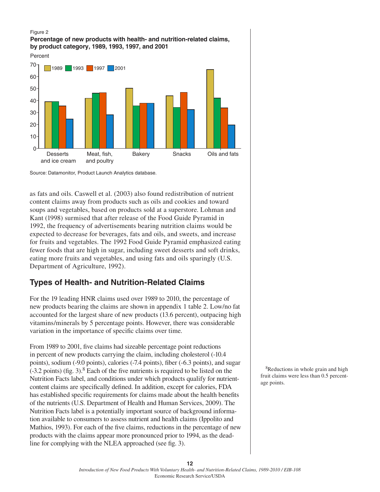#### Figure 2

#### **Percentage of new products with health- and nutrition-related claims, by product category, 1989, 1993, 1997, and 2001**



Source: Datamonitor, Product Launch Analytics database.

as fats and oils. Caswell et al. (2003) also found redistribution of nutrient content claims away from products such as oils and cookies and toward soups and vegetables, based on products sold at a superstore. Lohman and Kant (1998) surmised that after release of the Food Guide Pyramid in 1992, the frequency of advertisements bearing nutrition claims would be expected to decrease for beverages, fats and oils, and sweets, and increase for fruits and vegetables. The 1992 Food Guide Pyramid emphasized eating fewer foods that are high in sugar, including sweet desserts and soft drinks, eating more fruits and vegetables, and using fats and oils sparingly (U.S. Department of Agriculture, 1992).

## **Types of Health- and Nutrition-Related Claims**

For the 19 leading HNR claims used over 1989 to 2010, the percentage of new products bearing the claims are shown in appendix 1 table 2. Low/no fat accounted for the largest share of new products (13.6 percent), outpacing high vitamins/minerals by 5 percentage points. However, there was considerable variation in the importance of specific claims over time.

From 1989 to 2001, five claims had sizeable percentage point reductions in percent of new products carrying the claim, including cholesterol (-10.4 points), sodium (-9.0 points), calories (-7.4 points), fiber (-6.3 points), and sugar  $(-3.2 \text{ points})$  (fig. 3).<sup>8</sup> Each of the five nutrients is required to be listed on the Nutrition Facts label, and conditions under which products qualify for nutrientcontent claims are specifically defined. In addition, except for calories, FDA has established specific requirements for claims made about the health benefits of the nutrients (U.S. Department of Health and Human Services, 2009). The Nutrition Facts label is a potentially important source of background information available to consumers to assess nutrient and health claims (Ippolito and Mathios, 1993). For each of the five claims, reductions in the percentage of new products with the claims appear more pronounced prior to 1994, as the deadline for complying with the NLEA approached (see fig. 3).

8Reductions in whole grain and high fruit claims were less than 0.5 percentage points.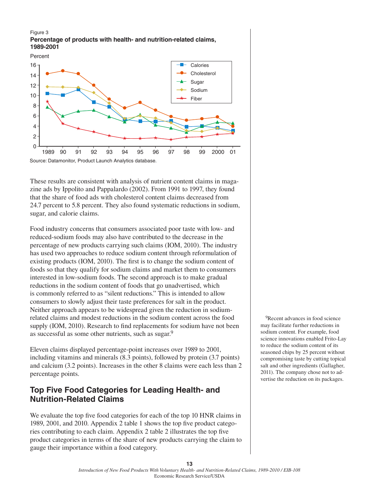#### Figure 3 **Percentage of products with health- and nutrition-related claims, 1989-2001**



These results are consistent with analysis of nutrient content claims in magazine ads by Ippolito and Pappalardo (2002). From 1991 to 1997, they found that the share of food ads with cholesterol content claims decreased from 24.7 percent to 5.8 percent. They also found systematic reductions in sodium, sugar, and calorie claims.

Food industry concerns that consumers associated poor taste with low- and reduced-sodium foods may also have contributed to the decrease in the percentage of new products carrying such claims (IOM, 2010). The industry has used two approaches to reduce sodium content through reformulation of existing products (IOM, 2010). The first is to change the sodium content of foods so that they qualify for sodium claims and market them to consumers interested in low-sodium foods. The second approach is to make gradual reductions in the sodium content of foods that go unadvertised, which is commonly referred to as "silent reductions." This is intended to allow consumers to slowly adjust their taste preferences for salt in the product. Neither approach appears to be widespread given the reduction in sodiumrelated claims and modest reductions in the sodium content across the food supply (IOM, 2010). Research to find replacements for sodium have not been as successful as some other nutrients, such as sugar.<sup>9</sup>

Eleven claims displayed percentage-point increases over 1989 to 2001, including vitamins and minerals (8.3 points), followed by protein (3.7 points) and calcium (3.2 points). Increases in the other 8 claims were each less than 2 percentage points.

## **Top Five Food Categories for Leading Health- and Nutrition-Related Claims**

We evaluate the top five food categories for each of the top 10 HNR claims in 1989, 2001, and 2010. Appendix 2 table 1 shows the top five product categories contributing to each claim. Appendix 2 table 2 illustrates the top five product categories in terms of the share of new products carrying the claim to gauge their importance within a food category.

<sup>9</sup>Recent advances in food science may facilitate further reductions in sodium content. For example, food science innovations enabled Frito-Lay to reduce the sodium content of its seasoned chips by 25 percent without compromising taste by cutting topical salt and other ingredients (Gallagher, 2011). The company chose not to advertise the reduction on its packages.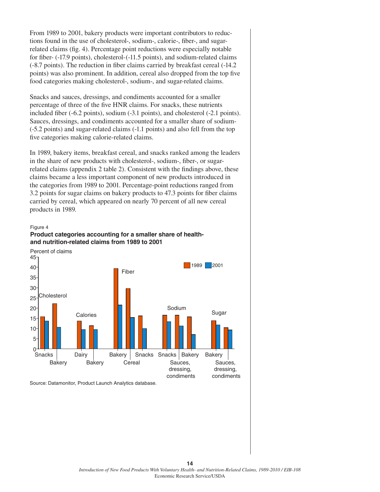From 1989 to 2001, bakery products were important contributors to reductions found in the use of cholesterol-, sodium-, calorie-, fiber-, and sugarrelated claims (fig. 4). Percentage point reductions were especially notable for fiber- (-17.9 points), cholesterol-(-11.5 points), and sodium-related claims (-8.7 points). The reduction in fiber claims carried by breakfast cereal (-14.2 points) was also prominent. In addition, cereal also dropped from the top five food categories making cholesterol-, sodium-, and sugar-related claims.

Snacks and sauces, dressings, and condiments accounted for a smaller percentage of three of the five HNR claims. For snacks, these nutrients included fiber (-6.2 points), sodium (-3.1 points), and cholesterol (-2.1 points). Sauces, dressings, and condiments accounted for a smaller share of sodium- (-5.2 points) and sugar-related claims (-1.1 points) and also fell from the top five categories making calorie-related claims.

In 1989, bakery items, breakfast cereal, and snacks ranked among the leaders in the share of new products with cholesterol-, sodium-, fiber-, or sugarrelated claims (appendix 2 table 2). Consistent with the findings above, these claims became a less important component of new products introduced in the categories from 1989 to 2001. Percentage-point reductions ranged from 3.2 points for sugar claims on bakery products to 47.3 points for fiber claims carried by cereal, which appeared on nearly 70 percent of all new cereal products in 1989.

#### Figure 4





Source: Datamonitor, Product Launch Analytics database.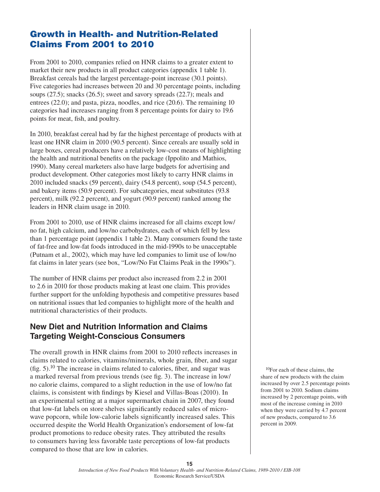## Growth in Health- and Nutrition-Related Claims From 2001 to 2010

From 2001 to 2010, companies relied on HNR claims to a greater extent to market their new products in all product categories (appendix 1 table 1). Breakfast cereals had the largest percentage-point increase (30.1 points). Five categories had increases between 20 and 30 percentage points, including soups (27.5); snacks (26.5); sweet and savory spreads (22.7); meals and entrees (22.0); and pasta, pizza, noodles, and rice (20.6). The remaining 10 categories had increases ranging from 8 percentage points for dairy to 19.6 points for meat, fish, and poultry.

In 2010, breakfast cereal had by far the highest percentage of products with at least one HNR claim in 2010 (90.5 percent). Since cereals are usually sold in large boxes, cereal producers have a relatively low-cost means of highlighting the health and nutritional benefits on the package (Ippolito and Mathios, 1990). Many cereal marketers also have large budgets for advertising and product development. Other categories most likely to carry HNR claims in 2010 included snacks (59 percent), dairy (54.8 percent), soup (54.5 percent), and bakery items (50.9 percent). For subcategories, meat substitutes (93.8 percent), milk (92.2 percent), and yogurt (90.9 percent) ranked among the leaders in HNR claim usage in 2010.

From 2001 to 2010, use of HNR claims increased for all claims except low/ no fat, high calcium, and low/no carbohydrates, each of which fell by less than 1 percentage point (appendix 1 table 2). Many consumers found the taste of fat-free and low-fat foods introduced in the mid-1990s to be unacceptable (Putnam et al., 2002), which may have led companies to limit use of low/no fat claims in later years (see box, "Low/No Fat Claims Peak in the 1990s").

The number of HNR claims per product also increased from 2.2 in 2001 to 2.6 in 2010 for those products making at least one claim. This provides further support for the unfolding hypothesis and competitive pressures based on nutritional issues that led companies to highlight more of the health and nutritional characteristics of their products.

## **New Diet and Nutrition Information and Claims Targeting Weight-Conscious Consumers**

The overall growth in HNR claims from 2001 to 2010 reflects increases in claims related to calories, vitamins/minerals, whole grain, fiber, and sugar  $(f\text{g}, 5)$ .<sup>10</sup> The increase in claims related to calories, fiber, and sugar was a marked reversal from previous trends (see fig. 3). The increase in low/ no calorie claims, compared to a slight reduction in the use of low/no fat claims, is consistent with findings by Kiesel and Villas-Boas (2010). In an experimental setting at a major supermarket chain in 2007, they found that low-fat labels on store shelves significantly reduced sales of microwave popcorn, while low-calorie labels significantly increased sales. This occurred despite the World Health Organization's endorsement of low-fat product promotions to reduce obesity rates. They attributed the results to consumers having less favorable taste perceptions of low-fat products compared to those that are low in calories.

10For each of these claims, the share of new products with the claim increased by over 2.5 percentage points from 2001 to 2010. Sodium claims increased by 2 percentage points, with most of the increase coming in 2010 when they were carried by 4.7 percent of new products, compared to 3.6 percent in 2009.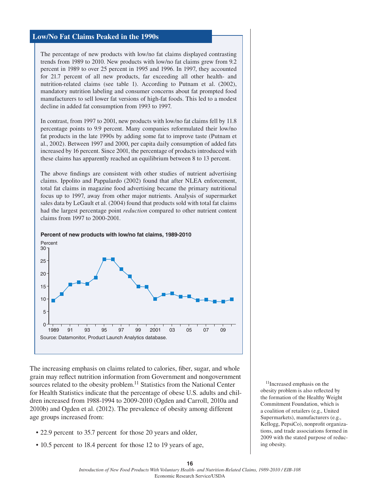#### **Low/No Fat Claims Peaked in the 1990s**

The percentage of new products with low/no fat claims displayed contrasting trends from 1989 to 2010. New products with low/no fat claims grew from 9.2 percent in 1989 to over 25 percent in 1995 and 1996. In 1997, they accounted for 21.7 percent of all new products, far exceeding all other health- and nutrition-related claims (see table 1). According to Putnam et al. (2002), mandatory nutrition labeling and consumer concerns about fat prompted food manufacturers to sell lower fat versions of high-fat foods. This led to a modest decline in added fat consumption from 1993 to 1997.

In contrast, from 1997 to 2001, new products with low/no fat claims fell by 11.8 percentage points to 9.9 percent. Many companies reformulated their low/no fat products in the late 1990s by adding some fat to improve taste (Putnam et al., 2002). Between 1997 and 2000, per capita daily consumption of added fats increased by 16 percent. Since 2001, the percentage of products introduced with these claims has apparently reached an equilibrium between 8 to 13 percent.

The above findings are consistent with other studies of nutrient advertising claims. Ippolito and Pappalardo (2002) found that after NLEA enforcement, total fat claims in magazine food advertising became the primary nutritional focus up to 1997, away from other major nutrients. Analysis of supermarket sales data by LeGault et al. (2004) found that products sold with total fat claims had the largest percentage point *reduction* compared to other nutrient content claims from 1997 to 2000-2001.



#### **Percent of new products with low/no fat claims, 1989-2010**

The increasing emphasis on claims related to calories, fiber, sugar, and whole grain may reflect nutrition information from Government and nongovernment sources related to the obesity problem.<sup>11</sup> Statistics from the National Center for Health Statistics indicate that the percentage of obese U.S. adults and children increased from 1988-1994 to 2009-2010 (Ogden and Carroll, 2010a and 2010b) and Ogden et al. (2012). The prevalence of obesity among different age groups increased from:

- 22.9 percent to 35.7 percent for those 20 years and older,
- 10.5 percent to 18.4 percent for those 12 to 19 years of age,

11Increased emphasis on the obesity problem is also reflected by the formation of the Healthy Weight Commitment Foundation, which is a coalition of retailers (e.g., United Supermarkets), manufacturers (e.g., Kellogg, PepsiCo), nonprofit organizations, and trade associations formed in 2009 with the stated purpose of reducing obesity.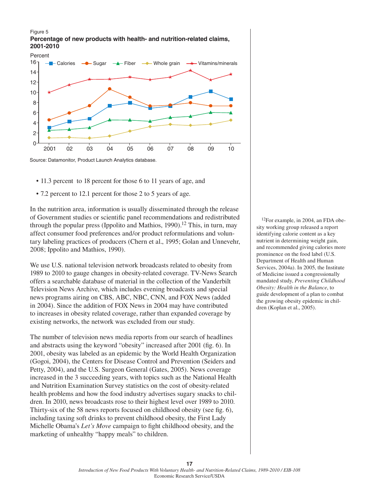#### Figure 5 **Percentage of new products with health- and nutrition-related claims, 2001-2010**



- 11.3 percent to 18 percent for those 6 to 11 years of age, and
- 7.2 percent to 12.1 percent for those 2 to 5 years of age.

In the nutrition area, information is usually disseminated through the release of Government studies or scientific panel recommendations and redistributed through the popular press (Ippolito and Mathios, 1990).<sup>12</sup> This, in turn, may affect consumer food preferences and/or product reformulations and voluntary labeling practices of producers (Chern et al., 1995; Golan and Unnevehr, 2008; Ippolito and Mathios, 1990).

We use U.S. national television network broadcasts related to obesity from 1989 to 2010 to gauge changes in obesity-related coverage. TV-News Search offers a searchable database of material in the collection of the Vanderbilt Television News Archive, which includes evening broadcasts and special news programs airing on CBS, ABC, NBC, CNN, and FOX News (added in 2004). Since the addition of FOX News in 2004 may have contributed to increases in obesity related coverage, rather than expanded coverage by existing networks, the network was excluded from our study.

The number of television news media reports from our search of headlines and abstracts using the keyword "obesity" increased after 2001 (fig. 6). In 2001, obesity was labeled as an epidemic by the World Health Organization (Gogoi, 2004), the Centers for Disease Control and Prevention (Seiders and Petty, 2004), and the U.S. Surgeon General (Gates, 2005). News coverage increased in the 3 succeeding years, with topics such as the National Health and Nutrition Examination Survey statistics on the cost of obesity-related health problems and how the food industry advertises sugary snacks to children. In 2010, news broadcasts rose to their highest level over 1989 to 2010. Thirty-six of the 58 news reports focused on childhood obesity (see fig. 6), including taxing soft drinks to prevent childhood obesity, the First Lady Michelle Obama's *Let's Move* campaign to fight childhood obesity, and the marketing of unhealthy "happy meals" to children.

<sup>12</sup>For example, in 2004, an FDA obesity working group released a report identifying calorie content as a key nutrient in determining weight gain, and recommended giving calories more prominence on the food label (U.S. Department of Health and Human Services, 2004a). In 2005, the Institute of Medicine issued a congressionally mandated study, *Preventing Childhood Obesity: Health in the Balance*, to guide development of a plan to combat the growing obesity epidemic in children (Koplan et al., 2005).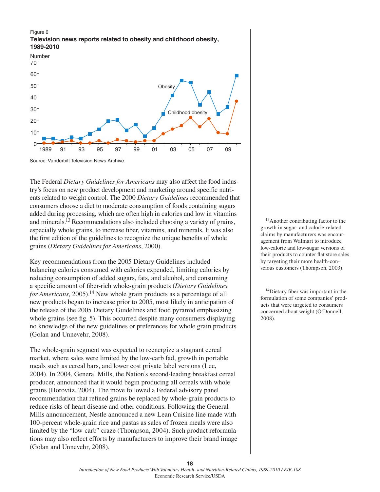#### Figure 6 **Television news reports related to obesity and childhood obesity, 1989-2010**



Source: Vanderbilt Television News Archive.

The Federal *Dietary Guidelines for Americans* may also affect the food industry's focus on new product development and marketing around specific nutrients related to weight control. The 2000 *Dietary Guidelines* recommended that consumers choose a diet to moderate consumption of foods containing sugars added during processing, which are often high in calories and low in vitamins and minerals.13 Recommendations also included choosing a variety of grains, especially whole grains, to increase fiber, vitamins, and minerals. It was also the first edition of the guidelines to recognize the unique benefits of whole grains (*Dietary Guidelines for Americans*, 2000).

Key recommendations from the 2005 Dietary Guidelines included balancing calories consumed with calories expended, limiting calories by reducing consumption of added sugars, fats, and alcohol, and consuming a specific amount of fiber-rich whole-grain products (*Dietary Guidelines for Americans*, 2005).<sup>14</sup> New whole grain products as a percentage of all new products began to increase prior to 2005, most likely in anticipation of the release of the 2005 Dietary Guidelines and food pyramid emphasizing whole grains (see fig. 5). This occurred despite many consumers displaying no knowledge of the new guidelines or preferences for whole grain products (Golan and Unnevehr, 2008).

The whole-grain segment was expected to reenergize a stagnant cereal market, where sales were limited by the low-carb fad, growth in portable meals such as cereal bars, and lower cost private label versions (Lee, 2004). In 2004, General Mills, the Nation's second-leading breakfast cereal producer, announced that it would begin producing all cereals with whole grains (Horovitz, 2004). The move followed a Federal advisory panel recommendation that refined grains be replaced by whole-grain products to reduce risks of heart disease and other conditions. Following the General Mills announcement, Nestle announced a new Lean Cuisine line made with 100-percent whole-grain rice and pastas as sales of frozen meals were also limited by the "low-carb" craze (Thompson, 2004). Such product reformulations may also reflect efforts by manufacturers to improve their brand image (Golan and Unnevehr, 2008).

<sup>13</sup>Another contributing factor to the growth in sugar- and calorie-related claims by manufacturers was encouragement from Walmart to introduce low-calorie and low-sugar versions of their products to counter flat store sales by targeting their more health-conscious customers (Thompson, 2003).

14Dietary fiber was important in the formulation of some companies' products that were targeted to consumers concerned about weight (O'Donnell, 2008).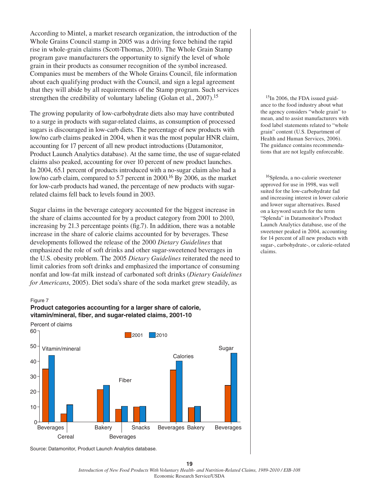According to Mintel, a market research organization, the introduction of the Whole Grains Council stamp in 2005 was a driving force behind the rapid rise in whole-grain claims (Scott-Thomas, 2010). The Whole Grain Stamp program gave manufacturers the opportunity to signify the level of whole grain in their products as consumer recognition of the symbol increased. Companies must be members of the Whole Grains Council, file information about each qualifying product with the Council, and sign a legal agreement that they will abide by all requirements of the Stamp program. Such services strengthen the credibility of voluntary labeling (Golan et al., 2007).<sup>15</sup>

The growing popularity of low-carbohydrate diets also may have contributed to a surge in products with sugar-related claims, as consumption of processed sugars is discouraged in low-carb diets. The percentage of new products with low/no carb claims peaked in 2004, when it was the most popular HNR claim, accounting for 17 percent of all new product introductions (Datamonitor, Product Launch Analytics database). At the same time, the use of sugar-related claims also peaked, accounting for over 10 percent of new product launches. In 2004, 65.1 percent of products introduced with a no-sugar claim also had a low/no carb claim, compared to 5.7 percent in 2000.16 By 2006, as the market for low-carb products had waned, the percentage of new products with sugarrelated claims fell back to levels found in 2003.

Sugar claims in the beverage category accounted for the biggest increase in the share of claims accounted for by a product category from 2001 to 2010, increasing by 21.3 percentage points (fig.7). In addition, there was a notable increase in the share of calorie claims accounted for by beverages. These developments followed the release of the 2000 *Dietary Guidelines* that emphasized the role of soft drinks and other sugar-sweetened beverages in the U.S. obesity problem. The 2005 *Dietary Guidelines* reiterated the need to limit calories from soft drinks and emphasized the importance of consuming nonfat and low-fat milk instead of carbonated soft drinks (*Dietary Guidelines for Americans*, 2005). Diet soda's share of the soda market grew steadily, as

Figure 7





<sup>15</sup>In 2006, the FDA issued guidance to the food industry about what the agency considers "whole grain" to mean, and to assist manufacturers with food label statements related to "whole grain" content (U.S. Department of Health and Human Services, 2006). The guidance contains recommendations that are not legally enforceable.

16Splenda, a no-calorie sweetener approved for use in 1998, was well suited for the low-carbohydrate fad and increasing interest in lower calorie and lower sugar alternatives. Based on a keyword search for the term "Splenda" in Datamonitor's Product Launch Analytics database, use of the sweetener peaked in 2004, accounting for 14 percent of all new products with sugar-, carbohydrate-, or calorie-related claims.

Source: Datamonitor, Product Launch Analytics database.

*Introduction of New Food Products With Voluntary Health- and Nutrition-Related Claims, 1989-2010 / EIB-108* Economic Research Service/USDA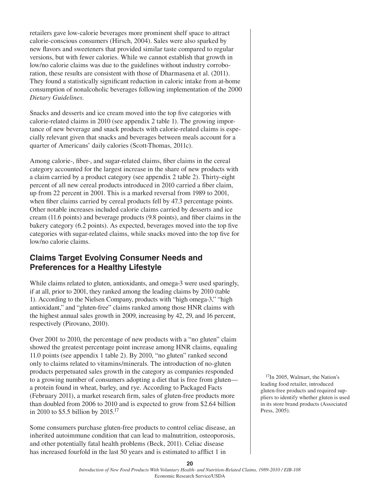retailers gave low-calorie beverages more prominent shelf space to attract calorie-conscious consumers (Hirsch, 2004). Sales were also sparked by new flavors and sweeteners that provided similar taste compared to regular versions, but with fewer calories. While we cannot establish that growth in low/no calorie claims was due to the guidelines without industry corroboration, these results are consistent with those of Dharmasena et al. (2011). They found a statistically significant reduction in caloric intake from at-home consumption of nonalcoholic beverages following implementation of the 2000 *Dietary Guidelines*.

Snacks and desserts and ice cream moved into the top five categories with calorie-related claims in 2010 (see appendix 2 table 1). The growing importance of new beverage and snack products with calorie-related claims is especially relevant given that snacks and beverages between meals account for a quarter of Americans' daily calories (Scott-Thomas, 2011c).

Among calorie-, fiber-, and sugar-related claims, fiber claims in the cereal category accounted for the largest increase in the share of new products with a claim carried by a product category (see appendix 2 table 2). Thirty-eight percent of all new cereal products introduced in 2010 carried a fiber claim, up from 22 percent in 2001. This is a marked reversal from 1989 to 2001, when fiber claims carried by cereal products fell by 47.3 percentage points. Other notable increases included calorie claims carried by desserts and ice cream (11.6 points) and beverage products (9.8 points), and fiber claims in the bakery category (6.2 points). As expected, beverages moved into the top five categories with sugar-related claims, while snacks moved into the top five for low/no calorie claims.

## **Claims Target Evolving Consumer Needs and Preferences for a Healthy Lifestyle**

While claims related to gluten, antioxidants, and omega-3 were used sparingly, if at all, prior to 2001, they ranked among the leading claims by 2010 (table 1). According to the Nielsen Company, products with "high omega-3," "high antioxidant," and "gluten-free" claims ranked among those HNR claims with the highest annual sales growth in 2009, increasing by 42, 29, and 16 percent, respectively (Pirovano, 2010).

Over 2001 to 2010, the percentage of new products with a "no gluten" claim showed the greatest percentage point increase among HNR claims, equaling 11.0 points (see appendix 1 table 2). By 2010, "no gluten" ranked second only to claims related to vitamins/minerals. The introduction of no-gluten products perpetuated sales growth in the category as companies responded to a growing number of consumers adopting a diet that is free from gluten a protein found in wheat, barley, and rye. According to Packaged Facts (February 2011), a market research firm, sales of gluten-free products more than doubled from 2006 to 2010 and is expected to grow from \$2.64 billion in 2010 to \$5.5 billion by  $2015$ .<sup>17</sup>

Some consumers purchase gluten-free products to control celiac disease, an inherited autoimmune condition that can lead to malnutrition, osteoporosis, and other potentially fatal health problems (Beck, 2011). Celiac disease has increased fourfold in the last 50 years and is estimated to afflict 1 in

<sup>17</sup>In 2005, Walmart, the Nation's leading food retailer, introduced gluten-free products and required suppliers to identify whether gluten is used in its store brand products (Associated Press, 2005).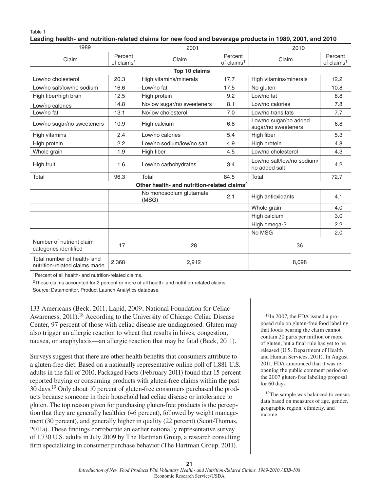Table 1

#### **Leading health- and nutrition-related claims for new food and beverage products in 1989, 2001, and 2010**

| 1989                                                         |                                   | 2001                                                    |                                   | 2010                                         |                                   |  |
|--------------------------------------------------------------|-----------------------------------|---------------------------------------------------------|-----------------------------------|----------------------------------------------|-----------------------------------|--|
| Claim                                                        | Percent<br>of claims <sup>1</sup> | Claim                                                   | Percent<br>of claims <sup>1</sup> | Claim                                        | Percent<br>of claims <sup>1</sup> |  |
|                                                              |                                   | Top 10 claims                                           |                                   |                                              |                                   |  |
| Low/no cholesterol                                           | 20.3                              | High vitamins/minerals                                  | 17.7                              | High vitamins/minerals                       | 12.2                              |  |
| Low/no salt/low/no sodium                                    | 16.6                              | Low/no fat                                              | 17.5                              | No gluten                                    | 10.8                              |  |
| High fiber/high bran                                         | 12.5                              | High protein                                            | 9.2                               | Low/no fat                                   | 8.8                               |  |
| Low/no calories                                              | 14.8                              | No/low sugar/no sweeteners                              | 8.1                               | Low/no calories                              | 7.8                               |  |
| Low/no fat                                                   | 13.1                              | No/low cholesterol                                      | 7.0                               | Low/no trans fats                            | 7.7                               |  |
| Low/no sugar/no sweeteners                                   | 10.9                              | High calcium                                            | 6.8                               | Low/no sugar/no added<br>sugar/no sweeteners | 6.8                               |  |
| High vitamins                                                | 2.4                               | Low/no calories                                         | 5.4                               | High fiber                                   | 5.3                               |  |
| High protein                                                 | 2.2                               | Low/no sodium/low/no salt                               | 4.9                               | High protein                                 | 4.8                               |  |
| Whole grain                                                  | 1.9                               | High fiber                                              | 4.5                               | Low/no cholesterol                           | 4.3                               |  |
| High fruit                                                   | 1.6                               | Low/no carbohydrates                                    | 3.4                               | Low/no salt/low/no sodium/<br>no added salt  | 4.2                               |  |
| Total                                                        | 96.3                              | Total                                                   | 84.5                              | Total                                        | 72.7                              |  |
|                                                              |                                   | Other health- and nutrition-related claims <sup>2</sup> |                                   |                                              |                                   |  |
|                                                              |                                   | No monosodium glutamate<br>(MSG)                        | 2.1                               | High antioxidants                            | 4.1                               |  |
|                                                              |                                   |                                                         |                                   | Whole grain                                  | 4.0                               |  |
|                                                              |                                   |                                                         |                                   | High calcium                                 | 3.0                               |  |
|                                                              |                                   |                                                         |                                   | High omega-3                                 | 2.2                               |  |
|                                                              |                                   |                                                         |                                   | No MSG                                       | 2.0                               |  |
| Number of nutrient claim<br>categories identified            | 17                                | 28                                                      |                                   | 36                                           |                                   |  |
| Total number of health- and<br>nutrition-related claims made | 2,368                             | 2,912                                                   |                                   | 8,098                                        |                                   |  |

<sup>1</sup>Percent of all health- and nutrition-related claims.

2These claims accounted for 2 percent or more of all health- and nutrition-related claims.

Source: Datamonitor, Product Launch Analytics database.

133 Americans (Beck, 2011; Lapid, 2009; National Foundation for Celiac Awareness, 2011).<sup>18</sup> According to the University of Chicago Celiac Disease Center, 97 percent of those with celiac disease are undiagnosed. Gluten may also trigger an allergic reaction to wheat that results in hives, congestion, nausea, or anaphylaxis—an allergic reaction that may be fatal (Beck, 2011).

Surveys suggest that there are other health benefits that consumers attribute to a gluten-free diet. Based on a nationally representative online poll of 1,881 U.S. adults in the fall of 2010, Packaged Facts (February 2011) found that 15 percent reported buying or consuming products with gluten-free claims within the past 30 days.19 Only about 10 percent of gluten-free consumers purchased the products because someone in their household had celiac disease or intolerance to gluten. The top reason given for purchasing gluten-free products is the perception that they are generally healthier (46 percent), followed by weight management (30 percent), and generally higher in quality (22 percent) (Scott-Thomas, 2011a). These findings corroborate an earlier nationally representative survey of 1,730 U.S. adults in July 2009 by The Hartman Group, a research consulting firm specializing in consumer purchase behavior (The Hartman Group, 2011).

<sup>18</sup>In 2007, the FDA issued a proposed rule on gluten-free food labeling that foods bearing the claim cannot contain 20 parts per million or more of gluten, but a final rule has yet to be released (U.S. Department of Health and Human Services, 2011). In August 2011, FDA announced that it was reopening the public comment period on the 2007 gluten-free labeling proposal for 60 days.

<sup>19</sup>The sample was balanced to census data based on measures of age, gender, geographic region, ethnicity, and income.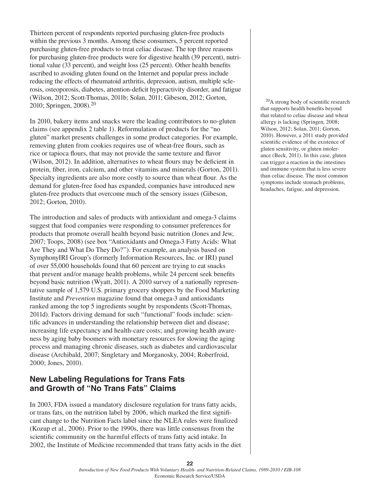Thirteen percent of respondents reported purchasing gluten-free products within the previous 3 months. Among these consumers, 5 percent reported purchasing gluten-free products to treat celiac disease. The top three reasons for purchasing gluten-free products were for digestive health (39 percent), nutritional value (33 percent), and weight loss (25 percent). Other health benefits ascribed to avoiding gluten found on the Internet and popular press include reducing the effects of rheumatoid arthritis, depression, autism, multiple sclerosis, osteoporosis, diabetes, attention-deficit hyperactivity disorder, and fatigue (Wilson, 2012; Scott-Thomas, 2011b; Solan, 2011; Gibeson, 2012; Gorton, 2010; Springen, 2008).20

In 2010, bakery items and snacks were the leading contributors to no-gluten claims (see appendix 2 table 1). Reformulation of products for the "no gluten" market presents challenges in some product categories. For example, removing gluten from cookies requires use of wheat-free flours, such as rice or tapioca flours, that may not provide the same texture and flavor (Wilson, 2012). In addition, alternatives to wheat flours may be deficient in protein, fiber, iron, calcium, and other vitamins and minerals (Gorton, 2011). Specialty ingredients are also more costly to source than wheat flour. As the demand for gluten-free food has expanded, companies have introduced new gluten-free products that overcome much of the sensory issues (Gibeson, 2012; Gorton, 2010).

The introduction and sales of products with antioxidant and omega-3 claims suggest that food companies were responding to consumer preferences for products that promote overall health beyond basic nutrition (Jones and Jew, 2007; Toops, 2008) (see box "Antioxidants and Omega-3 Fatty Acids: What Are They and What Do They Do?"). For example, an analysis based on SymphonyIRI Group's (formerly Information Resources, Inc. or IRI) panel of over 55,000 households found that 60 percent are trying to eat snacks that prevent and/or manage health problems, while 24 percent seek benefits beyond basic nutrition (Wyatt, 2011). A 2010 survey of a nationally representative sample of 1,579 U.S. primary grocery shoppers by the Food Marketing Institute and *Prevention* magazine found that omega-3 and antioxidants ranked among the top 5 ingredients sought by respondents (Scott-Thomas, 2011d). Factors driving demand for such "functional" foods include: scientific advances in understanding the relationship between diet and disease; increasing life expectancy and health-care costs; and growing health awareness by aging baby boomers with monetary resources for slowing the aging process and managing chronic diseases, such as diabetes and cardiovascular disease (Archibald, 2007; Singletary and Morganosky, 2004; Roberfroid, 2000; Jones, 2010).

## **New Labeling Regulations for Trans Fats and Growth of "No Trans Fats" Claims**

In 2003, FDA issued a mandatory disclosure regulation for trans fatty acids, or trans fats, on the nutrition label by 2006, which marked the first significant change to the Nutrition Facts label since the NLEA rules were finalized (Kozup et al., 2006). Prior to the 1990s, there was little consensus from the scientific community on the harmful effects of trans fatty acid intake. In 2002, the Institute of Medicine recommended that trans fatty acids in the diet

20A strong body of scientific research that supports health benefits beyond that related to celiac disease and wheat allergy is lacking (Springen, 2008; Wilson, 2012; Solan, 2011; Gorton, 2010). However, a 2011 study provided scientific evidence of the existence of gluten sensitivity, or gluten intolerance (Beck, 2011). In this case, gluten can trigger a reaction in the intestines and immune system that is less severe than celiac disease. The most common symptoms include stomach problems, headaches, fatigue, and depression.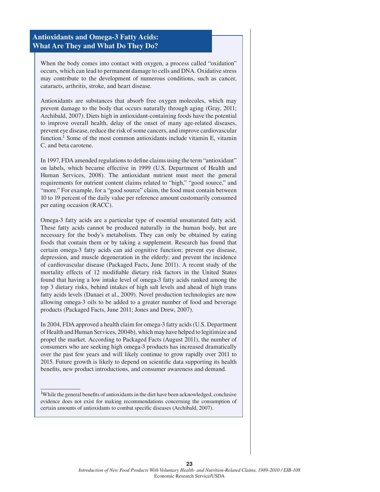#### **Antioxidants and Omega-3 Fatty Acids: What Are They and What Do They Do?**

When the body comes into contact with oxygen, a process called "oxidation" occurs, which can lead to permanent damage to cells and DNA. Oxidative stress may contribute to the development of numerous conditions, such as cancer, cataracts, arthritis, stroke, and heart disease.

Antioxidants are substances that absorb free oxygen molecules, which may prevent damage to the body that occurs naturally through aging (Gray, 2011; Archibald, 2007). Diets high in antioxidant-containing foods have the potential to improve overall health, delay of the onset of many age-related diseases, prevent eye disease, reduce the risk of some cancers, and improve cardiovascular function.<sup>1</sup> Some of the most common antioxidants include vitamin E, vitamin C, and beta carotene.

In 1997, FDA amended regulations to define claims using the term "antioxidant" on labels, which became effective in 1999 (U.S. Department of Health and Human Services, 2008). The antioxidant nutrient must meet the general requirements for nutrient content claims related to "high," "good source," and "more." For example, for a "good source" claim, the food must contain between 10 to 19 percent of the daily value per reference amount customarily consumed per eating occasion (RACC).

Omega-3 fatty acids are a particular type of essential unsaturated fatty acid. These fatty acids cannot be produced naturally in the human body, but are necessary for the body's metabolism. They can only be obtained by eating foods that contain them or by taking a supplement. Research has found that certain omega-3 fatty acids can aid cognitive function; prevent eye disease, depression, and muscle degeneration in the elderly; and prevent the incidence of cardiovascular disease (Packaged Facts, June 2011). A recent study of the mortality effects of 12 modifiable dietary risk factors in the United States found that having a low intake level of omega-3 fatty acids ranked among the top 3 dietary risks, behind intakes of high salt levels and ahead of high trans fatty acids levels (Danaei et al., 2009). Novel production technologies are now allowing omega-3 oils to be added to a greater number of food and beverage products (Packaged Facts, June 2011; Jones and Drew, 2007).

In 2004, FDA approved a health claim for omega-3 fatty acids (U.S. Department of Health and Human Services, 2004b), which may have helped to legitimize and propel the market. According to Packaged Facts (August 2011), the number of consumers who are seeking high omega-3 products has increased dramatically over the past few years and will likely continue to grow rapidly over 2011 to 2015. Future growth is likely to depend on scientific data supporting its health benefits, new product introductions, and consumer awareness and demand.

<sup>&</sup>lt;sup>1</sup>While the general benefits of antioxidants in the diet have been acknowledged, conclusive evidence does not exist for making recommendations concerning the consumption of certain amounts of antioxidants to combat specific diseases (Archibald, 2007).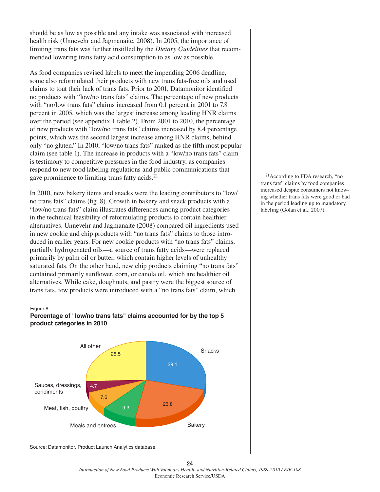should be as low as possible and any intake was associated with increased health risk (Unnevehr and Jagmanaite, 2008). In 2005, the importance of limiting trans fats was further instilled by the *Dietary Guidelines* that recommended lowering trans fatty acid consumption to as low as possible.

As food companies revised labels to meet the impending 2006 deadline, some also reformulated their products with new trans fats-free oils and used claims to tout their lack of trans fats. Prior to 2001, Datamonitor identified no products with "low/no trans fats" claims. The percentage of new products with "no/low trans fats" claims increased from 0.1 percent in 2001 to 7.8 percent in 2005, which was the largest increase among leading HNR claims over the period (see appendix 1 table 2). From 2001 to 2010, the percentage of new products with "low/no trans fats" claims increased by 8.4 percentage points, which was the second largest increase among HNR claims, behind only "no gluten." In 2010, "low/no trans fats" ranked as the fifth most popular claim (see table 1). The increase in products with a "low/no trans fats" claim is testimony to competitive pressures in the food industry, as companies respond to new food labeling regulations and public communications that gave prominence to limiting trans fatty acids.21

In 2010, new bakery items and snacks were the leading contributors to "low/ no trans fats" claims (fig. 8). Growth in bakery and snack products with a "low/no trans fats" claim illustrates differences among product categories in the technical feasibility of reformulating products to contain healthier alternatives. Unnevehr and Jagmanaite (2008) compared oil ingredients used in new cookie and chip products with "no trans fats" claims to those introduced in earlier years. For new cookie products with "no trans fats" claims, partially hydrogenated oils—a source of trans fatty acids—were replaced primarily by palm oil or butter, which contain higher levels of unhealthy saturated fats. On the other hand, new chip products claiming "no trans fats" contained primarily sunflower, corn, or canola oil, which are healthier oil alternatives. While cake, doughnuts, and pastry were the biggest source of trans fats, few products were introduced with a "no trans fats" claim, which

#### Figure 8





Source: Datamonitor, Product Launch Analytics database.

21According to FDA research, "no trans fats" claims by food companies increased despite consumers not knowing whether trans fats were good or bad in the period leading up to mandatory labeling (Golan et al., 2007).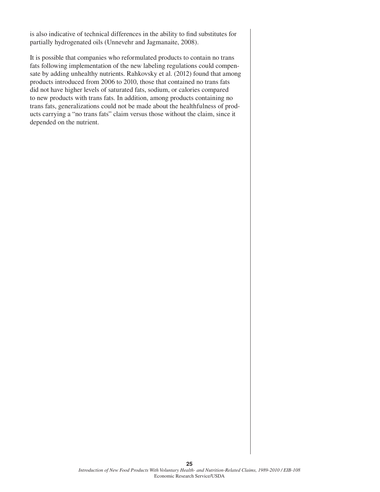is also indicative of technical differences in the ability to find substitutes for partially hydrogenated oils (Unnevehr and Jagmanaite, 2008).

It is possible that companies who reformulated products to contain no trans fats following implementation of the new labeling regulations could compensate by adding unhealthy nutrients. Rahkovsky et al. (2012) found that among products introduced from 2006 to 2010, those that contained no trans fats did not have higher levels of saturated fats, sodium, or calories compared to new products with trans fats. In addition, among products containing no trans fats, generalizations could not be made about the healthfulness of products carrying a "no trans fats" claim versus those without the claim, since it depended on the nutrient.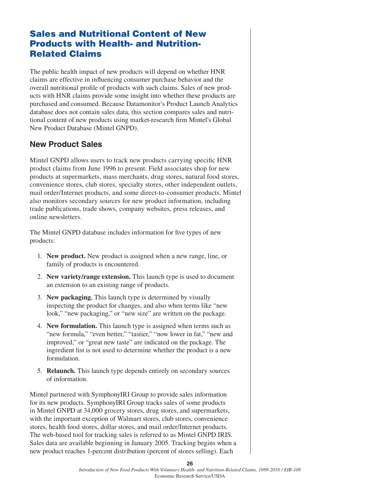## Sales and Nutritional Content of New Products with Health- and Nutrition-Related Claims

The public health impact of new products will depend on whether HNR claims are effective in influencing consumer purchase behavior and the overall nutritional profile of products with such claims. Sales of new products with HNR claims provide some insight into whether these products are purchased and consumed. Because Datamonitor's Product Launch Analytics database does not contain sales data, this section compares sales and nutritional content of new products using market-research firm Mintel's Global New Product Database (Mintel GNPD).

## **New Product Sales**

Mintel GNPD allows users to track new products carrying specific HNR product claims from June 1996 to present. Field associates shop for new products at supermarkets, mass merchants, drug stores, natural food stores, convenience stores, club stores, specialty stores, other independent outlets, mail order/Internet products, and some direct-to-consumer products. Mintel also monitors secondary sources for new product information, including trade publications, trade shows, company websites, press releases, and online newsletters.

The Mintel GNPD database includes information for five types of new products:

- 1. **New product.** New product is assigned when a new range, line, or family of products is encountered.
- 2. **New variety/range extension.** This launch type is used to document an extension to an existing range of products.
- 3. **New packaging.** This launch type is determined by visually inspecting the product for changes, and also when terms like "new look," "new packaging," or "new size" are written on the package.
- 4. **New formulation.** This launch type is assigned when terms such as "new formula," "even better," "tastier," "now lower in fat," "new and improved," or "great new taste" are indicated on the package. The ingredient list is not used to determine whether the product is a new formulation.
- 5. **Relaunch.** This launch type depends entirely on secondary sources of information.

Mintel partnered with SymphonyIRI Group to provide sales information for its new products. SymphonyIRI Group tracks sales of some products in Mintel GNPD at 34,000 grocery stores, drug stores, and supermarkets, with the important exception of Walmart stores, club stores, convenience stores, health food stores, dollar stores, and mail order/Internet products. The web-based tool for tracking sales is referred to as Mintel GNPD IRIS. Sales data are available beginning in January 2005. Tracking begins when a new product reaches 1-percent distribution (percent of stores selling). Each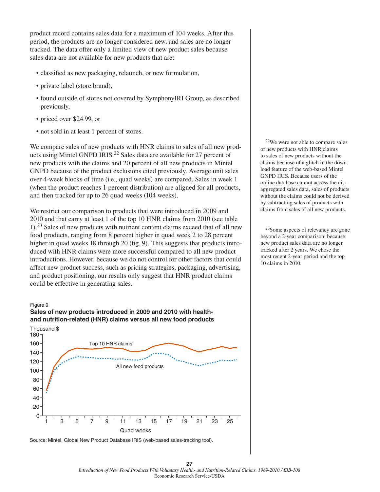product record contains sales data for a maximum of 104 weeks. After this period, the products are no longer considered new, and sales are no longer tracked. The data offer only a limited view of new product sales because sales data are not available for new products that are:

- classified as new packaging, relaunch, or new formulation,
- private label (store brand),
- • found outside of stores not covered by SymphonyIRI Group, as described previously,
- priced over \$24.99, or
- not sold in at least 1 percent of stores.

We compare sales of new products with HNR claims to sales of all new products using Mintel GNPD IRIS.<sup>22</sup> Sales data are available for 27 percent of new products with the claims and 20 percent of all new products in Mintel GNPD because of the product exclusions cited previously. Average unit sales over 4-week blocks of time (i.e., quad weeks) are compared. Sales in week 1 (when the product reaches 1-percent distribution) are aligned for all products, and then tracked for up to 26 quad weeks (104 weeks).

We restrict our comparison to products that were introduced in 2009 and 2010 and that carry at least 1 of the top 10 HNR claims from 2010 (see table 1).23 Sales of new products with nutrient content claims exceed that of all new food products, ranging from 8 percent higher in quad week 2 to 28 percent higher in quad weeks 18 through 20 (fig. 9). This suggests that products introduced with HNR claims were more successful compared to all new product introductions. However, because we do not control for other factors that could affect new product success, such as pricing strategies, packaging, advertising, and product positioning, our results only suggest that HNR product claims could be effective in generating sales.

#### Figure 9

#### **Sales of new products introduced in 2009 and 2010 with healthand nutrition-related (HNR) claims versus all new food products**



Source: Mintel, Global New Product Database IRIS (web-based sales-tracking tool).

22We were not able to compare sales of new products with HNR claims to sales of new products without the claims because of a glitch in the download feature of the web-based Mintel GNPD IRIS. Because users of the online database cannot access the disaggregated sales data, sales of products without the claims could not be derived by subtracting sales of products with claims from sales of all new products.

23Some aspects of relevancy are gone beyond a 2-year comparison, because new product sales data are no longer tracked after 2 years. We chose the most recent 2-year period and the top 10 claims in 2010.

*Introduction of New Food Products With Voluntary Health- and Nutrition-Related Claims, 1989-2010 / EIB-108* Economic Research Service/USDA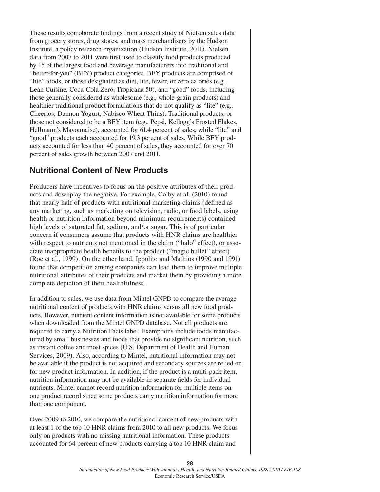These results corroborate findings from a recent study of Nielsen sales data from grocery stores, drug stores, and mass merchandisers by the Hudson Institute, a policy research organization (Hudson Institute, 2011). Nielsen data from 2007 to 2011 were first used to classify food products produced by 15 of the largest food and beverage manufacturers into traditional and "better-for-you" (BFY) product categories. BFY products are comprised of "lite" foods, or those designated as diet, lite, fewer, or zero calories (e.g., Lean Cuisine, Coca-Cola Zero, Tropicana 50), and "good" foods, including those generally considered as wholesome (e.g., whole-grain products) and healthier traditional product formulations that do not qualify as "lite" (e.g., Cheerios, Dannon Yogurt, Nabisco Wheat Thins). Traditional products, or those not considered to be a BFY item (e.g., Pepsi, Kellogg's Frosted Flakes, Hellmann's Mayonnaise), accounted for 61.4 percent of sales, while "lite" and "good" products each accounted for 19.3 percent of sales. While BFY products accounted for less than 40 percent of sales, they accounted for over 70 percent of sales growth between 2007 and 2011.

## **Nutritional Content of New Products**

Producers have incentives to focus on the positive attributes of their products and downplay the negative. For example, Colby et al. (2010) found that nearly half of products with nutritional marketing claims (defined as any marketing, such as marketing on television, radio, or food labels, using health or nutrition information beyond minimum requirements) contained high levels of saturated fat, sodium, and/or sugar. This is of particular concern if consumers assume that products with HNR claims are healthier with respect to nutrients not mentioned in the claim ("halo" effect), or associate inappropriate health benefits to the product ("magic bullet" effect) (Roe et al., 1999). On the other hand, Ippolito and Mathios (1990 and 1991) found that competition among companies can lead them to improve multiple nutritional attributes of their products and market them by providing a more complete depiction of their healthfulness.

In addition to sales, we use data from Mintel GNPD to compare the average nutritional content of products with HNR claims versus all new food products. However, nutrient content information is not available for some products when downloaded from the Mintel GNPD database. Not all products are required to carry a Nutrition Facts label. Exemptions include foods manufactured by small businesses and foods that provide no significant nutrition, such as instant coffee and most spices (U.S. Department of Health and Human Services, 2009). Also, according to Mintel, nutritional information may not be available if the product is not acquired and secondary sources are relied on for new product information. In addition, if the product is a multi-pack item, nutrition information may not be available in separate fields for individual nutrients. Mintel cannot record nutrition information for multiple items on one product record since some products carry nutrition information for more than one component.

Over 2009 to 2010, we compare the nutritional content of new products with at least 1 of the top 10 HNR claims from 2010 to all new products. We focus only on products with no missing nutritional information. These products accounted for 64 percent of new products carrying a top 10 HNR claim and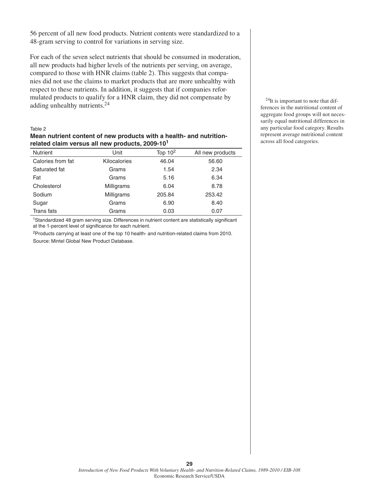56 percent of all new food products. Nutrient contents were standardized to a 48-gram serving to control for variations in serving size.

For each of the seven select nutrients that should be consumed in moderation, all new products had higher levels of the nutrients per serving, on average, compared to those with HNR claims (table 2). This suggests that companies did not use the claims to market products that are more unhealthy with respect to these nutrients. In addition, it suggests that if companies reformulated products to qualify for a HNR claim, they did not compensate by adding unhealthy nutrients.24

#### Table 2

#### **Mean nutrient content of new products with a health- and nutritionrelated claim versus all new products, 2009-10<sup>1</sup>**

| <b>Nutrient</b>   | Unit         | Top $102$ | All new products |
|-------------------|--------------|-----------|------------------|
| Calories from fat | Kilocalories | 46.04     | 56.60            |
| Saturated fat     | Grams        | 1.54      | 2.34             |
| Fat               | Grams        | 5.16      | 6.34             |
| Cholesterol       | Milligrams   | 6.04      | 8.78             |
| Sodium            | Milligrams   | 205.84    | 253.42           |
| Sugar             | Grams        | 6.90      | 8.40             |
| Trans fats        | Grams        | 0.03      | 0.07             |

1Standardized 48 gram serving size. Differences in nutrient content are statistically significant at the 1-percent level of significance for each nutrient.

2Products carrying at least one of the top 10 health- and nutrition-related claims from 2010.

Source: Mintel Global New Product Database.

<sup>24</sup>It is important to note that differences in the nutritional content of aggregate food groups will not necessarily equal nutritional differences in any particular food category. Results represent average nutritional content across all food categories.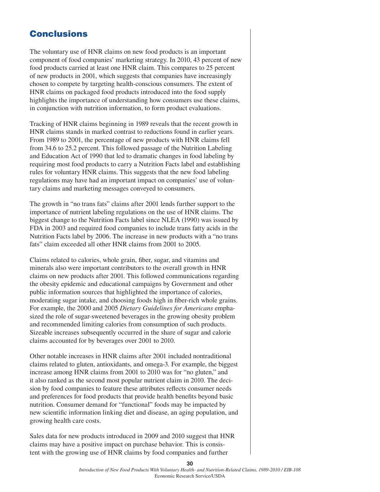## **Conclusions**

The voluntary use of HNR claims on new food products is an important component of food companies' marketing strategy. In 2010, 43 percent of new food products carried at least one HNR claim. This compares to 25 percent of new products in 2001, which suggests that companies have increasingly chosen to compete by targeting health-conscious consumers. The extent of HNR claims on packaged food products introduced into the food supply highlights the importance of understanding how consumers use these claims, in conjunction with nutrition information, to form product evaluations.

Tracking of HNR claims beginning in 1989 reveals that the recent growth in HNR claims stands in marked contrast to reductions found in earlier years. From 1989 to 2001, the percentage of new products with HNR claims fell from 34.6 to 25.2 percent. This followed passage of the Nutrition Labeling and Education Act of 1990 that led to dramatic changes in food labeling by requiring most food products to carry a Nutrition Facts label and establishing rules for voluntary HNR claims. This suggests that the new food labeling regulations may have had an important impact on companies' use of voluntary claims and marketing messages conveyed to consumers.

The growth in "no trans fats" claims after 2001 lends further support to the importance of nutrient labeling regulations on the use of HNR claims. The biggest change to the Nutrition Facts label since NLEA (1990) was issued by FDA in 2003 and required food companies to include trans fatty acids in the Nutrition Facts label by 2006. The increase in new products with a "no trans fats" claim exceeded all other HNR claims from 2001 to 2005.

Claims related to calories, whole grain, fiber, sugar, and vitamins and minerals also were important contributors to the overall growth in HNR claims on new products after 2001. This followed communications regarding the obesity epidemic and educational campaigns by Government and other public information sources that highlighted the importance of calories, moderating sugar intake, and choosing foods high in fiber-rich whole grains. For example, the 2000 and 2005 *Dietary Guidelines for Americans* emphasized the role of sugar-sweetened beverages in the growing obesity problem and recommended limiting calories from consumption of such products. Sizeable increases subsequently occurred in the share of sugar and calorie claims accounted for by beverages over 2001 to 2010.

Other notable increases in HNR claims after 2001 included nontraditional claims related to gluten, antioxidants, and omega-3. For example, the biggest increase among HNR claims from 2001 to 2010 was for "no gluten," and it also ranked as the second most popular nutrient claim in 2010. The decision by food companies to feature these attributes reflects consumer needs and preferences for food products that provide health benefits beyond basic nutrition. Consumer demand for "functional" foods may be impacted by new scientific information linking diet and disease, an aging population, and growing health care costs.

Sales data for new products introduced in 2009 and 2010 suggest that HNR claims may have a positive impact on purchase behavior. This is consistent with the growing use of HNR claims by food companies and further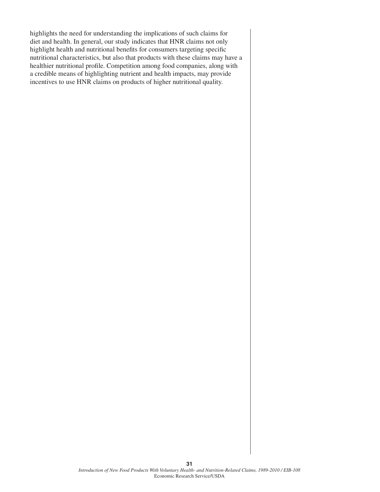highlights the need for understanding the implications of such claims for diet and health. In general, our study indicates that HNR claims not only highlight health and nutritional benefits for consumers targeting specific nutritional characteristics, but also that products with these claims may have a healthier nutritional profile. Competition among food companies, along with a credible means of highlighting nutrient and health impacts, may provide incentives to use HNR claims on products of higher nutritional quality.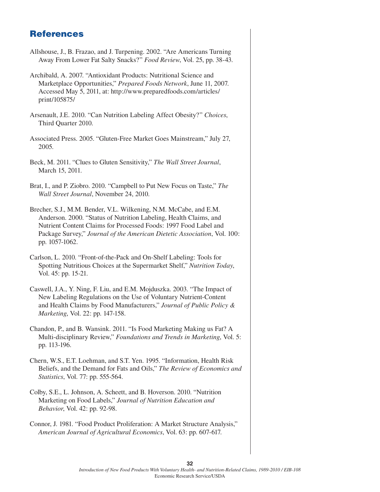## **References**

| Allshouse, J., B. Frazao, and J. Turpening. 2002. "Are Americans Turning<br>Away From Lower Fat Salty Snacks?" Food Review, Vol. 25, pp. 38-43.                                                                                                                                                          |
|----------------------------------------------------------------------------------------------------------------------------------------------------------------------------------------------------------------------------------------------------------------------------------------------------------|
| Archibald, A. 2007. "Antioxidant Products: Nutritional Science and<br>Marketplace Opportunities," Prepared Foods Network, June 11, 2007.<br>Accessed May 5, 2011, at: http://www.preparedfoods.com/articles/<br>print/105875/                                                                            |
| Arsenault, J.E. 2010. "Can Nutrition Labeling Affect Obesity?" Choices,<br>Third Quarter 2010.                                                                                                                                                                                                           |
| Associated Press. 2005. "Gluten-Free Market Goes Mainstream," July 27,<br>2005.                                                                                                                                                                                                                          |
| Beck, M. 2011. "Clues to Gluten Sensitivity," The Wall Street Journal,<br>March 15, 2011.                                                                                                                                                                                                                |
| Brat, I., and P. Ziobro. 2010. "Campbell to Put New Focus on Taste," The<br>Wall Street Journal, November 24, 2010.                                                                                                                                                                                      |
| Brecher, S.J., M.M. Bender, V.L. Wilkening, N.M. McCabe, and E.M.<br>Anderson. 2000. "Status of Nutrition Labeling, Health Claims, and<br>Nutrient Content Claims for Processed Foods: 1997 Food Label and<br>Package Survey," Journal of the American Dietetic Association, Vol. 100:<br>pp. 1057-1062. |
| Carlson, L. 2010. "Front-of-the-Pack and On-Shelf Labeling: Tools for<br>Spotting Nutritious Choices at the Supermarket Shelf," Nutrition Today,<br>Vol. 45: pp. 15-21.                                                                                                                                  |
| Caswell, J.A., Y. Ning, F. Liu, and E.M. Mojduszka. 2003. "The Impact of<br>New Labeling Regulations on the Use of Voluntary Nutrient-Content<br>and Health Claims by Food Manufacturers," Journal of Public Policy &<br>Marketing, Vol. 22: pp. 147-158.                                                |
| Chandon, P., and B. Wansink. 2011. "Is Food Marketing Making us Fat? A<br>Multi-disciplinary Review," Foundations and Trends in Marketing, Vol. 5:<br>pp. 113-196.                                                                                                                                       |
| Chern, W.S., E.T. Loehman, and S.T. Yen. 1995. "Information, Health Risk<br>Beliefs, and the Demand for Fats and Oils," The Review of Economics and<br><i>Statistics</i> , Vol. 77: pp. 555-564.                                                                                                         |
| Colby, S.E., L. Johnson, A. Scheett, and B. Hoverson. 2010. "Nutrition<br>Marketing on Food Labels," Journal of Nutrition Education and<br>Behavior, Vol. 42: pp. 92-98.                                                                                                                                 |
| Connor I 1081 "Food Product Proliferation: A Market Structure Analysis"                                                                                                                                                                                                                                  |

Connor, J. 1981. "Food Product Proliferation: A Market Structure Analysis," *American Journal of Agricultural Economics*, Vol. 63: pp. 607-617.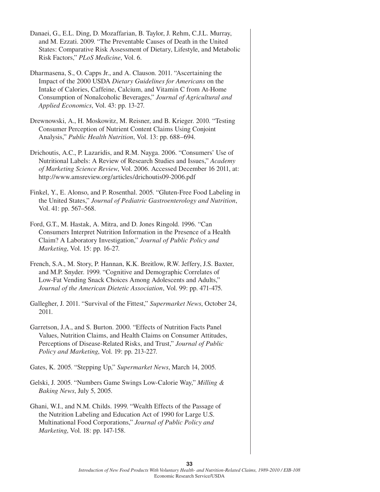- Danaei, G., E.L. Ding, D. Mozaffarian, B. Taylor, J. Rehm, C.J.L. Murray, and M. Ezzati. 2009. "The Preventable Causes of Death in the United States: Comparative Risk Assessment of Dietary, Lifestyle, and Metabolic Risk Factors," *PLoS Medicine*, Vol. 6.
- Dharmasena, S., O. Capps Jr., and A. Clauson. 2011. "Ascertaining the Impact of the 2000 USDA *Dietary Guidelines for Americans* on the Intake of Calories, Caffeine, Calcium, and Vitamin C from At-Home Consumption of Nonalcoholic Beverages," *Journal of Agricultural and Applied Economics*, Vol. 43: pp. 13-27.
- Drewnowski, A., H. Moskowitz, M. Reisner, and B. Krieger. 2010. "Testing Consumer Perception of Nutrient Content Claims Using Conjoint Analysis," *Public Health Nutrition*, Vol. 13: pp. 688–694.
- Drichoutis, A.C., P. Lazaridis, and R.M. Nayga. 2006. "Consumers' Use of Nutritional Labels: A Review of Research Studies and Issues," *Academy of Marketing Science Review*, Vol. 2006. Accessed December 16 2011, at: http://www.amsreview.org/articles/drichoutis09-2006.pdf
- Finkel, Y., E. Alonso, and P. Rosenthal. 2005. "Gluten-Free Food Labeling in the United States," *Journal of Pediatric Gastroenterology and Nutrition*, Vol. 41: pp. 567–568.
- Ford, G.T., M. Hastak, A. Mitra, and D. Jones Ringold. 1996. "Can Consumers Interpret Nutrition Information in the Presence of a Health Claim? A Laboratory Investigation," *Journal of Public Policy and Marketing*, Vol. 15: pp. 16-27.
- French, S.A., M. Story, P. Hannan, K.K. Breitlow, R.W. Jeffery, J.S. Baxter, and M.P. Snyder. 1999. "Cognitive and Demographic Correlates of Low-Fat Vending Snack Choices Among Adolescents and Adults," *Journal of the American Dietetic Association*, Vol. 99: pp. 471-475.
- Gallegher, J. 2011. "Survival of the Fittest," *Supermarket News*, October 24, 2011.
- Garretson, J.A., and S. Burton. 2000. "Effects of Nutrition Facts Panel Values, Nutrition Claims, and Health Claims on Consumer Attitudes, Perceptions of Disease-Related Risks, and Trust," *Journal of Public Policy and Marketing*, Vol. 19: pp. 213-227.
- Gates, K. 2005. "Stepping Up," *Supermarket News*, March 14, 2005.
- Gelski, J. 2005. "Numbers Game Swings Low-Calorie Way," *Milling & Baking News*, July 5, 2005.
- Ghani, W.I., and N.M. Childs. 1999. "Wealth Effects of the Passage of the Nutrition Labeling and Education Act of 1990 for Large U.S. Multinational Food Corporations," *Journal of Public Policy and Marketing*, Vol. 18: pp. 147-158.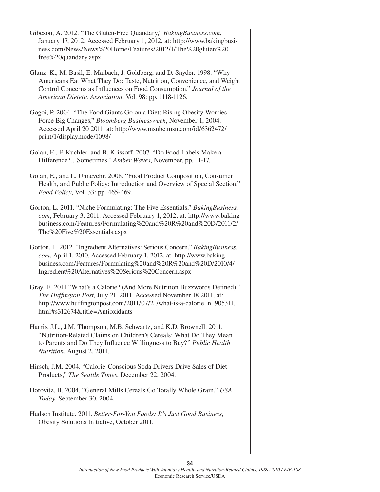- Gibeson, A. 2012. "The Gluten-Free Quandary," *BakingBusiness.com*, January 17, 2012. Accessed February 1, 2012, at: http://www.bakingbusiness.com/News/News%20Home/Features/2012/1/The%20gluten%20 free%20quandary.aspx
- Glanz, K., M. Basil, E. Maibach, J. Goldberg, and D. Snyder. 1998. "Why Americans Eat What They Do: Taste, Nutrition, Convenience, and Weight Control Concerns as Influences on Food Consumption," *Journal of the American Dietetic Association*, Vol. 98: pp. 1118-1126.
- Gogoi, P. 2004. "The Food Giants Go on a Diet: Rising Obesity Worries Force Big Changes," *Bloomberg Businessweek*, November 1, 2004. Accessed April 20 2011, at: http://www.msnbc.msn.com/id/6362472/ print/1/displaymode/1098/
- Golan, E., F. Kuchler, and B. Krissoff. 2007. "Do Food Labels Make a Difference?…Sometimes," *Amber Waves*, November, pp. 11-17.
- Golan, E., and L. Unnevehr. 2008. "Food Product Composition, Consumer Health, and Public Policy: Introduction and Overview of Special Section," *Food Policy*, Vol. 33: pp. 465-469.
- Gorton, L. 2011. "Niche Formulating: The Five Essentials," *BakingBusiness*. *com*, February 3, 2011. Accessed February 1, 2012, at: http://www.bakingbusiness.com/Features/Formulating%20and%20R%20and%20D/2011/2/ The%20Five%20Essentials.aspx
- Gorton, L. 2012. "Ingredient Alternatives: Serious Concern," *BakingBusiness. com*, April 1, 2010. Accessed February 1, 2012, at: http://www.bakingbusiness.com/Features/Formulating%20and%20R%20and%20D/2010/4/ Ingredient%20Alternatives%20Serious%20Concern.aspx
- Gray, E. 2011 "What's a Calorie? (And More Nutrition Buzzwords Defined)," *The Huffington Post*, July 21, 2011. Accessed November 18 2011, at: http://www.huffingtonpost.com/2011/07/21/what-is-a-calorie\_n\_905311. html#s312674&title=Antioxidants
- Harris, J.L., J.M. Thompson, M.B. Schwartz, and K.D. Brownell. 2011. "Nutrition-Related Claims on Children's Cereals: What Do They Mean to Parents and Do They Influence Willingness to Buy?" *Public Health Nutrition*, August 2, 2011.
- Hirsch, J.M. 2004. "Calorie-Conscious Soda Drivers Drive Sales of Diet Products," *The Seattle Times*, December 22, 2004.
- Horovitz, B. 2004. "General Mills Cereals Go Totally Whole Grain," *USA Today*, September 30, 2004.
- Hudson Institute. 2011. *Better-For-You Foods: It's Just Good Business*, Obesity Solutions Initiative, October 2011.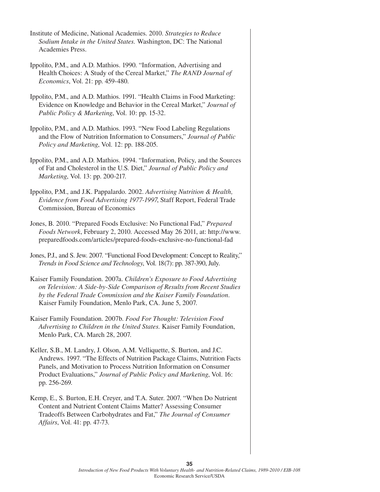- Institute of Medicine, National Academies. 2010. *Strategies to Reduce Sodium Intake in the United States.* Washington, DC: The National Academies Press.
- Ippolito, P.M., and A.D. Mathios. 1990. "Information, Advertising and Health Choices: A Study of the Cereal Market," *The RAND Journal of Economics*, Vol. 21: pp. 459-480.
- Ippolito, P.M., and A.D. Mathios. 1991. "Health Claims in Food Marketing: Evidence on Knowledge and Behavior in the Cereal Market," *Journal of Public Policy & Marketing*, Vol. 10: pp. 15-32.
- Ippolito, P.M., and A.D. Mathios. 1993. "New Food Labeling Regulations and the Flow of Nutrition Information to Consumers," *Journal of Public Policy and Marketing*, Vol. 12: pp. 188-205.
- Ippolito, P.M., and A.D. Mathios. 1994. "Information, Policy, and the Sources of Fat and Cholesterol in the U.S. Diet," *Journal of Public Policy and Marketing*, Vol. 13: pp. 200-217.
- Ippolito, P.M., and J.K. Pappalardo. 2002. *Advertising Nutrition & Health, Evidence from Food Advertising 1977-1997*, Staff Report, Federal Trade Commission, Bureau of Economics
- Jones, B. 2010. "Prepared Foods Exclusive: No Functional Fad," *Prepared Foods Network*, February 2, 2010. Accessed May 26 2011, at: http://www. preparedfoods.com/articles/prepared-foods-exclusive-no-functional-fad
- Jones, P.J., and S. Jew. 2007. "Functional Food Development: Concept to Reality," *Trends in Food Science and Technology*, Vol. 18(7): pp. 387-390, July.
- Kaiser Family Foundation. 2007a. *Children's Exposure to Food Advertising on Television: A Side-by-Side Comparison of Results from Recent Studies by the Federal Trade Commission and the Kaiser Family Foundation.*  Kaiser Family Foundation, Menlo Park, CA. June 5, 2007.
- Kaiser Family Foundation. 2007b. *Food For Thought: Television Food Advertising to Children in the United States.* Kaiser Family Foundation, Menlo Park, CA. March 28, 2007.
- Keller, S.B., M. Landry, J. Olson, A.M. Velliquette, S. Burton, and J.C. Andrews. 1997. "The Effects of Nutrition Package Claims, Nutrition Facts Panels, and Motivation to Process Nutrition Information on Consumer Product Evaluations," *Journal of Public Policy and Marketing*, Vol. 16: pp. 256-269.
- Kemp, E., S. Burton, E.H. Creyer, and T.A. Suter. 2007. "When Do Nutrient Content and Nutrient Content Claims Matter? Assessing Consumer Tradeoffs Between Carbohydrates and Fat," *The Journal of Consumer Affairs*, Vol. 41: pp. 47-73.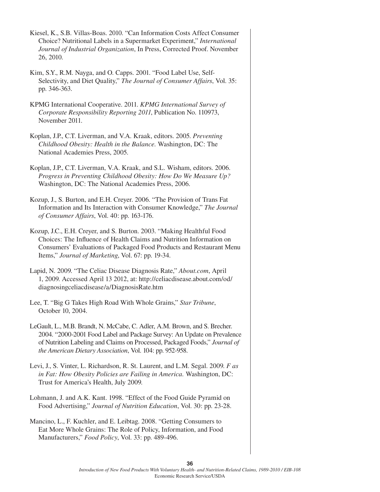- Kiesel, K., S.B. Villas-Boas. 2010. "Can Information Costs Affect Consumer Choice? Nutritional Labels in a Supermarket Experiment," *International Journal of Industrial Organization*, In Press, Corrected Proof. November 26, 2010.
- Kim, S.Y., R.M. Nayga, and O. Capps. 2001. "Food Label Use, Self-Selectivity, and Diet Quality," *The Journal of Consumer Affairs*, Vol. 35: pp. 346-363.
- KPMG International Cooperative. 2011. *KPMG International Survey of Corporate Responsibility Reporting 2011*, Publication No. 110973, November 2011.
- Koplan, J.P., C.T. Liverman, and V.A. Kraak, editors. 2005. *Preventing Childhood Obesity: Health in the Balance.* Washington, DC: The National Academies Press, 2005.
- Koplan, J.P., C.T. Liverman, V.A. Kraak, and S.L. Wisham, editors. 2006. *Progress in Preventing Childhood Obesity: How Do We Measure Up?* Washington, DC: The National Academies Press, 2006.
- Kozup, J., S. Burton, and E.H. Creyer. 2006. "The Provision of Trans Fat Information and Its Interaction with Consumer Knowledge," *The Journal of Consumer Affairs*, Vol. 40: pp. 163-176.
- Kozup, J.C., E.H. Creyer, and S. Burton. 2003. "Making Healthful Food Choices: The Influence of Health Claims and Nutrition Information on Consumers' Evaluations of Packaged Food Products and Restaurant Menu Items," *Journal of Marketing*, Vol. 67: pp. 19-34.
- Lapid, N. 2009. "The Celiac Disease Diagnosis Rate," *About.com*, April 1, 2009. Accessed April 13 2012, at: http://celiacdisease.about.com/od/ diagnosingceliacdisease/a/DiagnosisRate.htm
- Lee, T. "Big G Takes High Road With Whole Grains," *Star Tribune*, October 10, 2004.
- LeGault, L., M.B. Brandt, N. McCabe, C. Adler, A.M. Brown, and S. Brecher. 2004. "2000-2001 Food Label and Package Survey: An Update on Prevalence of Nutrition Labeling and Claims on Processed, Packaged Foods," *Journal of the American Dietary Association*, Vol. 104: pp. 952-958.
- Levi, J., S. Vinter, L. Richardson, R. St. Laurent, and L.M. Segal. 2009. *F as in Fat: How Obesity Policies are Failing in America.* Washington, DC: Trust for America's Health, July 2009.
- Lohmann, J. and A.K. Kant. 1998. "Effect of the Food Guide Pyramid on Food Advertising," *Journal of Nutrition Education*, Vol. 30: pp. 23-28.
- Mancino, L., F. Kuchler, and E. Leibtag. 2008. "Getting Consumers to Eat More Whole Grains: The Role of Policy, Information, and Food Manufacturers," *Food Policy*, Vol. 33: pp. 489-496.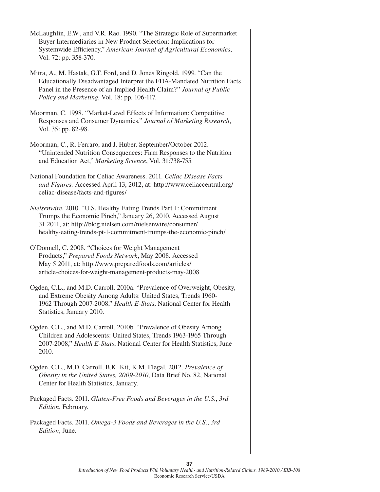McLaughlin, E.W., and V.R. Rao. 1990. "The Strategic Role of Supermarket Buyer Intermediaries in New Product Selection: Implications for Systemwide Efficiency," *American Journal of Agricultural Economics*, Vol. 72: pp. 358-370.

Mitra, A., M. Hastak, G.T. Ford, and D. Jones Ringold. 1999. "Can the Educationally Disadvantaged Interpret the FDA-Mandated Nutrition Facts Panel in the Presence of an Implied Health Claim?" *Journal of Public Policy and Marketing*, Vol. 18: pp. 106-117.

Moorman, C. 1998. "Market-Level Effects of Information: Competitive Responses and Consumer Dynamics," *Journal of Marketing Research*, Vol. 35: pp. 82-98.

Moorman, C., R. Ferraro, and J. Huber. September/October 2012. "Unintended Nutrition Consequences: Firm Responses to the Nutrition and Education Act," *Marketing Science*, Vol. 31:738-755.

National Foundation for Celiac Awareness. 2011. *Celiac Disease Facts and Figures.* Accessed April 13, 2012, at: http://www.celiaccentral.org/ celiac-disease/facts-and-figures/

*Nielsenwire*. 2010. "U.S. Healthy Eating Trends Part 1: Commitment Trumps the Economic Pinch," January 26, 2010. Accessed August 31 2011, at: http://blog.nielsen.com/nielsenwire/consumer/ healthy-eating-trends-pt-1-commitment-trumps-the-economic-pinch/

O'Donnell, C. 2008. "Choices for Weight Management Products," *Prepared Foods Network*, May 2008. Accessed May 5 2011, at: http://www.preparedfoods.com/articles/ article-choices-for-weight-management-products-may-2008

Ogden, C.L., and M.D. Carroll. 2010a. "Prevalence of Overweight, Obesity, and Extreme Obesity Among Adults: United States, Trends 1960- 1962 Through 2007-2008," *Health E-Stats*, National Center for Health Statistics, January 2010.

Ogden, C.L., and M.D. Carroll. 2010b. "Prevalence of Obesity Among Children and Adolescents: United States, Trends 1963-1965 Through 2007-2008," *Health E-Stats*, National Center for Health Statistics, June 2010.

Ogden, C.L., M.D. Carroll, B.K. Kit, K.M. Flegal. 2012. *Prevalence of Obesity in the United States, 2009-2010*, Data Brief No. 82, National Center for Health Statistics, January.

Packaged Facts. 2011. *Gluten-Free Foods and Beverages in the U.S.*, *3rd Edition*, February.

Packaged Facts. 2011. *Omega-3 Foods and Beverages in the U.S.*, *3rd Edition*, June.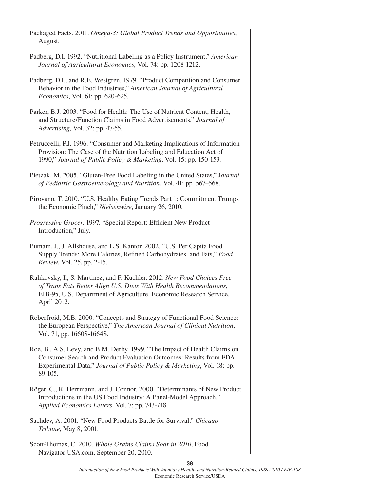| Packaged Facts. 2011. Omega-3: Global Product Trends and Opportunities,<br>August.                                                                                                                                                  |
|-------------------------------------------------------------------------------------------------------------------------------------------------------------------------------------------------------------------------------------|
| Padberg, D.I. 1992. "Nutritional Labeling as a Policy Instrument," American<br>Journal of Agricultural Economics, Vol. 74: pp. 1208-1212.                                                                                           |
| Padberg, D.I., and R.E. Westgren. 1979. "Product Competition and Consumer<br>Behavior in the Food Industries," American Journal of Agricultural<br><i>Economics</i> , Vol. 61: pp. 620-625.                                         |
| Parker, B.J. 2003. "Food for Health: The Use of Nutrient Content, Health,<br>and Structure/Function Claims in Food Advertisements," Journal of<br>Advertising, Vol. 32: pp. 47-55.                                                  |
| Petruccelli, P.J. 1996. "Consumer and Marketing Implications of Information<br>Provision: The Case of the Nutrition Labeling and Education Act of<br>1990," Journal of Public Policy & Marketing, Vol. 15: pp. 150-153.             |
| Pietzak, M. 2005. "Gluten-Free Food Labeling in the United States," Journal<br>of Pediatric Gastroenterology and Nutrition, Vol. 41: pp. 567-568.                                                                                   |
| Pirovano, T. 2010. "U.S. Healthy Eating Trends Part 1: Commitment Trumps<br>the Economic Pinch," Nielsenwire, January 26, 2010.                                                                                                     |
| Progressive Grocer. 1997. "Special Report: Efficient New Product<br>Introduction," July.                                                                                                                                            |
| Putnam, J., J. Allshouse, and L.S. Kantor. 2002. "U.S. Per Capita Food<br>Supply Trends: More Calories, Refined Carbohydrates, and Fats," Food<br>Review, Vol. 25, pp. 2-15.                                                        |
| Rahkovsky, I., S. Martinez, and F. Kuchler. 2012. New Food Choices Free<br>of Trans Fats Better Align U.S. Diets With Health Recommendations,<br>EIB-95, U.S. Department of Agriculture, Economic Research Service,<br>April 2012.  |
| Roberfroid, M.B. 2000. "Concepts and Strategy of Functional Food Science:<br>the European Perspective," The American Journal of Clinical Nutrition,<br>Vol. 71, pp. 1660S-1664S.                                                    |
| Roe, B., A.S. Levy, and B.M. Derby. 1999. "The Impact of Health Claims on<br>Consumer Search and Product Evaluation Outcomes: Results from FDA<br>Experimental Data," Journal of Public Policy & Marketing, Vol. 18: pp.<br>89-105. |
| Röger, C., R. Herrmann, and J. Connor. 2000. "Determinants of New Product<br>Introductions in the US Food Industry: A Panel-Model Approach,"<br>Applied Economics Letters, Vol. 7: pp. 743-748.                                     |
| Sachdev, A. 2001. "New Food Products Battle for Survival," Chicago<br>Tribune, May 8, 2001.                                                                                                                                         |

Scott-Thomas, C. 2010. *Whole Grains Claims Soar in 2010*, Food Navigator-USA.com, September 20, 2010.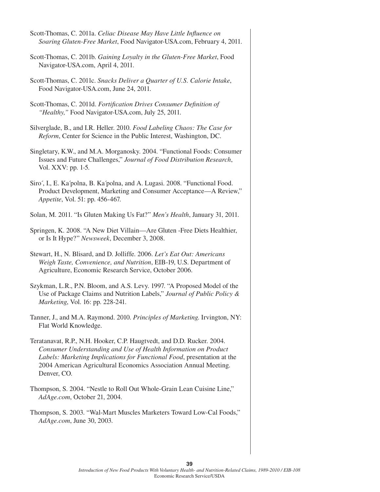| Scott-Thomas, C. 2011a. Celiac Disease May Have Little Influence on<br>Soaring Gluten-Free Market, Food Navigator-USA.com, February 4, 2011.                                                                                                                                                            |
|---------------------------------------------------------------------------------------------------------------------------------------------------------------------------------------------------------------------------------------------------------------------------------------------------------|
| Scott-Thomas, C. 2011b. Gaining Loyalty in the Gluten-Free Market, Food<br>Navigator-USA.com, April 4, 2011.                                                                                                                                                                                            |
| Scott-Thomas, C. 2011c. Snacks Deliver a Quarter of U.S. Calorie Intake,<br>Food Navigator-USA.com, June 24, 2011.                                                                                                                                                                                      |
| Scott-Thomas, C. 2011d. Fortification Drives Consumer Definition of<br>"Healthy," Food Navigator-USA.com, July 25, 2011.                                                                                                                                                                                |
| Silverglade, B., and I.R. Heller. 2010. Food Labeling Chaos: The Case for<br>Reform, Center for Science in the Public Interest, Washington, DC.                                                                                                                                                         |
| Singletary, K.W., and M.A. Morganosky. 2004. "Functional Foods: Consumer<br>Issues and Future Challenges," Journal of Food Distribution Research,<br>Vol. XXV: pp. 1-5.                                                                                                                                 |
| Siro', I., E. Ka'polna, B. Ka'polna, and A. Lugasi. 2008. "Functional Food.<br>Product Development, Marketing and Consumer Acceptance—A Review,"<br>Appetite, Vol. 51: pp. 456-467.                                                                                                                     |
| Solan, M. 2011. "Is Gluten Making Us Fat?" Men's Health, January 31, 2011.                                                                                                                                                                                                                              |
| Springen, K. 2008. "A New Diet Villain-Are Gluten - Free Diets Healthier,<br>or Is It Hype?" Newsweek, December 3, 2008.                                                                                                                                                                                |
| Stewart, H., N. Blisard, and D. Jolliffe. 2006. Let's Eat Out: Americans<br>Weigh Taste, Convenience, and Nutrition, EIB-19, U.S. Department of<br>Agriculture, Economic Research Service, October 2006.                                                                                                |
| Szykman, L.R., P.N. Bloom, and A.S. Levy. 1997. "A Proposed Model of the<br>Use of Package Claims and Nutrition Labels," Journal of Public Policy &<br>Marketing, Vol. 16: pp. 228-241.                                                                                                                 |
| Tanner, J., and M.A. Raymond. 2010. Principles of Marketing. Irvington, NY:<br>Flat World Knowledge.                                                                                                                                                                                                    |
| Teratanavat, R.P., N.H. Hooker, C.P. Haugtvedt, and D.D. Rucker. 2004.<br>Consumer Understanding and Use of Health Information on Product<br>Labels: Marketing Implications for Functional Food, presentation at the<br>2004 American Agricultural Economics Association Annual Meeting.<br>Denver, CO. |
| Thompson, S. 2004. "Nestle to Roll Out Whole-Grain Lean Cuisine Line,"<br>AdAge.com, October 21, 2004.                                                                                                                                                                                                  |
| Thompson, S. 2003. "Wal-Mart Muscles Marketers Toward Low-Cal Foods,"<br>AdAge.com, June 30, 2003.                                                                                                                                                                                                      |
|                                                                                                                                                                                                                                                                                                         |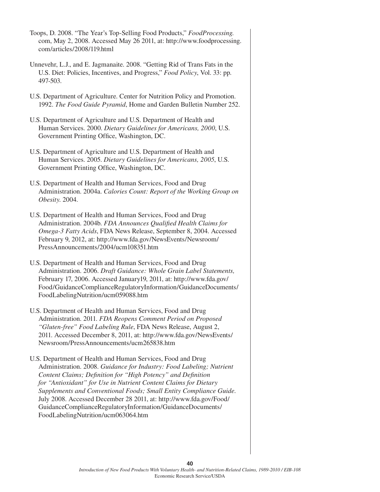| Toops, D. 2008. "The Year's Top-Selling Food Products," FoodProcessing.<br>com, May 2, 2008. Accessed May 26 2011, at: http://www.foodprocessing.<br>com/articles/2008/119.html                                                                                                                                                                                                                                                                                                                                          |
|--------------------------------------------------------------------------------------------------------------------------------------------------------------------------------------------------------------------------------------------------------------------------------------------------------------------------------------------------------------------------------------------------------------------------------------------------------------------------------------------------------------------------|
| Unnevehr, L.J., and E. Jagmanaite. 2008. "Getting Rid of Trans Fats in the<br>U.S. Diet: Policies, Incentives, and Progress," Food Policy, Vol. 33: pp.<br>497-503.                                                                                                                                                                                                                                                                                                                                                      |
| U.S. Department of Agriculture. Center for Nutrition Policy and Promotion.<br>1992. The Food Guide Pyramid, Home and Garden Bulletin Number 252.                                                                                                                                                                                                                                                                                                                                                                         |
| U.S. Department of Agriculture and U.S. Department of Health and<br>Human Services. 2000. Dietary Guidelines for Americans, 2000, U.S.<br>Government Printing Office, Washington, DC.                                                                                                                                                                                                                                                                                                                                    |
| U.S. Department of Agriculture and U.S. Department of Health and<br>Human Services. 2005. Dietary Guidelines for Americans, 2005, U.S.<br>Government Printing Office, Washington, DC.                                                                                                                                                                                                                                                                                                                                    |
| U.S. Department of Health and Human Services, Food and Drug<br>Administration. 2004a. Calories Count: Report of the Working Group on<br>Obesity. 2004.                                                                                                                                                                                                                                                                                                                                                                   |
| U.S. Department of Health and Human Services, Food and Drug<br>Administration. 2004b. FDA Announces Qualified Health Claims for<br>Omega-3 Fatty Acids, FDA News Release, September 8, 2004. Accessed<br>February 9, 2012, at: http://www.fda.gov/NewsEvents/Newsroom/<br>PressAnnouncements/2004/ucm108351.htm                                                                                                                                                                                                          |
| U.S. Department of Health and Human Services, Food and Drug<br>Administration. 2006. Draft Guidance: Whole Grain Label Statements,<br>February 17, 2006. Accessed January19, 2011, at: http://www.fda.gov/<br>Food/GuidanceComplianceRegulatoryInformation/GuidanceDocuments/<br>FoodLabelingNutrition/ucm059088.htm                                                                                                                                                                                                     |
| U.S. Department of Health and Human Services, Food and Drug<br>Administration. 2011. FDA Reopens Comment Period on Proposed<br>"Gluten-free" Food Labeling Rule, FDA News Release, August 2,<br>2011. Accessed December 8, 2011, at: http://www.fda.gov/NewsEvents/<br>Newsroom/PressAnnouncements/ucm265838.htm                                                                                                                                                                                                         |
| U.S. Department of Health and Human Services, Food and Drug<br>Administration. 2008. Guidance for Industry: Food Labeling; Nutrient<br>Content Claims; Definition for "High Potency" and Definition<br>for "Antioxidant" for Use in Nutrient Content Claims for Dietary<br>Supplements and Conventional Foods; Small Entity Compliance Guide.<br>July 2008. Accessed December 28 2011, at: http://www.fda.gov/Food/<br>GuidanceComplianceRegulatoryInformation/GuidanceDocuments/<br>FoodLabelingNutrition/ucm063064.htm |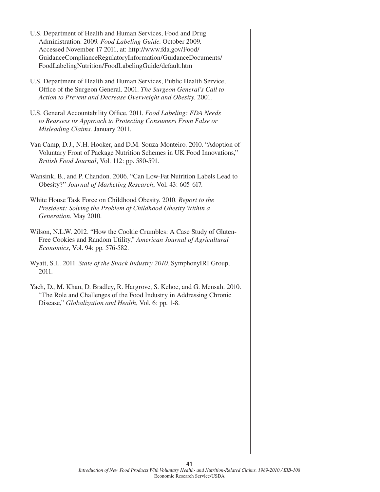- U.S. Department of Health and Human Services, Food and Drug Administration. 2009. *Food Labeling Guide*. October 2009. Accessed November 17 2011, at: http://www.fda.gov/Food/ GuidanceComplianceRegulatoryInformation/GuidanceDocuments/ FoodLabelingNutrition/FoodLabelingGuide/default.htm
- U.S. Department of Health and Human Services, Public Health Service, Office of the Surgeon General. 2001. *The Surgeon General's Call to Action to Prevent and Decrease Overweight and Obesity*. 2001.
- U.S. General Accountability Office. 2011. *Food Labeling: FDA Needs to Reassess its Approach to Protecting Consumers From False or Misleading Claims.* January 2011.
- Van Camp, D.J., N.H. Hooker, and D.M. Souza-Monteiro. 2010. "Adoption of Voluntary Front of Package Nutrition Schemes in UK Food Innovations," *British Food Journal*, Vol. 112: pp. 580-591.
- Wansink, B., and P. Chandon. 2006. "Can Low-Fat Nutrition Labels Lead to Obesity?" *Journal of Marketing Research*, Vol. 43: 605-617.
- White House Task Force on Childhood Obesity. 2010. *Report to the President: Solving the Problem of Childhood Obesity Within a Generation*. May 2010.
- Wilson, N.L.W. 2012. "How the Cookie Crumbles: A Case Study of Gluten-Free Cookies and Random Utility," *American Journal of Agricultural Economics*, Vol. 94: pp. 576-582.
- Wyatt, S.L. 2011. *State of the Snack Industry 2010*. SymphonyIRI Group, 2011.
- Yach, D., M. Khan, D. Bradley, R. Hargrove, S. Kehoe, and G. Mensah. 2010. "The Role and Challenges of the Food Industry in Addressing Chronic Disease," *Globalization and Health*, Vol. 6: pp. 1-8.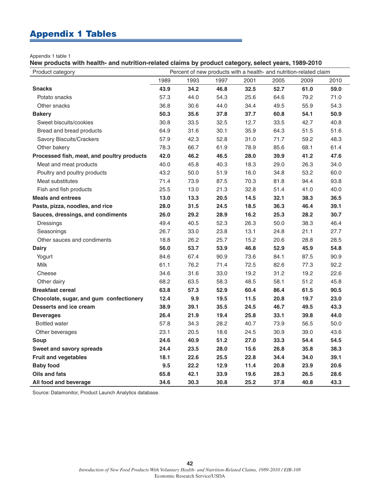## Appendix 1 Tables

Appendix 1 table 1

**New products with health- and nutrition-related claims by product category, select years, 1989-2010**

| Product category                           | Percent of new products with a health- and nutrition-related claim |      |      |      |      |      |      |  |
|--------------------------------------------|--------------------------------------------------------------------|------|------|------|------|------|------|--|
|                                            | 1989                                                               | 1993 | 1997 | 2001 | 2005 | 2009 | 2010 |  |
| <b>Snacks</b>                              | 43.9                                                               | 34.2 | 46.8 | 32.5 | 52.7 | 61.0 | 59.0 |  |
| Potato snacks                              | 57.3                                                               | 44.0 | 54.3 | 25.6 | 64.6 | 79.2 | 71.0 |  |
| Other snacks                               | 36.8                                                               | 30.6 | 44.0 | 34.4 | 49.5 | 55.9 | 54.3 |  |
| <b>Bakery</b>                              | 50.3                                                               | 35.6 | 37.8 | 37.7 | 60.8 | 54.1 | 50.9 |  |
| Sweet biscuits/cookies                     | 30.8                                                               | 33.5 | 32.5 | 12.7 | 33.5 | 42.7 | 40.8 |  |
| Bread and bread products                   | 64.9                                                               | 31.6 | 30.1 | 35.9 | 64.3 | 51.5 | 51.6 |  |
| Savory Biscuits/Crackers                   | 57.9                                                               | 42.3 | 52.8 | 31.0 | 71.7 | 59.2 | 48.3 |  |
| Other bakery                               | 78.3                                                               | 66.7 | 61.9 | 78.9 | 85.6 | 68.1 | 61.4 |  |
| Processed fish, meat, and poultry products | 42.0                                                               | 46.2 | 46.5 | 28.0 | 39.9 | 41.2 | 47.6 |  |
| Meat and meat products                     | 40.0                                                               | 45.8 | 40.3 | 18.3 | 29.0 | 26.3 | 34.0 |  |
| Poultry and poultry products               | 43.2                                                               | 50.0 | 51.9 | 16.0 | 34.8 | 53.2 | 60.0 |  |
| Meat substitutes                           | 71.4                                                               | 73.9 | 87.5 | 70.3 | 81.8 | 94.4 | 93.8 |  |
| Fish and fish products                     | 25.5                                                               | 13.0 | 21.3 | 32.8 | 51.4 | 41.0 | 40.0 |  |
| <b>Meals and entrees</b>                   | 13.0                                                               | 13.3 | 20.5 | 14.5 | 32.1 | 38.3 | 36.5 |  |
| Pasta, pizza, noodles, and rice            | 28.0                                                               | 31.5 | 24.5 | 18.5 | 36.3 | 46.4 | 39.1 |  |
| Sauces, dressings, and condiments          | 26.0                                                               | 29.2 | 28.9 | 16.2 | 25.3 | 28.2 | 30.7 |  |
| Dressings                                  | 49.4                                                               | 40.5 | 52.3 | 26.3 | 50.0 | 38.3 | 46.4 |  |
| Seasonings                                 | 26.7                                                               | 33.0 | 23.8 | 13.1 | 24.8 | 21.1 | 27.7 |  |
| Other sauces and condiments                | 18.8                                                               | 26.2 | 25.7 | 15.2 | 20.6 | 28.8 | 28.5 |  |
| <b>Dairy</b>                               | 56.0                                                               | 53.7 | 53.9 | 46.8 | 52.9 | 45.9 | 54.8 |  |
| Yogurt                                     | 84.6                                                               | 67.4 | 90.9 | 73.6 | 84.1 | 87.5 | 90.9 |  |
| Milk                                       | 61.1                                                               | 76.2 | 71.4 | 72.5 | 82.6 | 77.3 | 92.2 |  |
| Cheese                                     | 34.6                                                               | 31.6 | 33.0 | 19.2 | 31.2 | 19.2 | 22.6 |  |
| Other dairy                                | 68.2                                                               | 63.5 | 58.3 | 48.5 | 58.1 | 51.2 | 45.8 |  |
| <b>Breakfast cereal</b>                    | 63.8                                                               | 57.3 | 52.9 | 60.4 | 86.4 | 61.5 | 90.5 |  |
| Chocolate, sugar, and gum confectionery    | 12.4                                                               | 9.9  | 19.5 | 11.5 | 20.8 | 19.7 | 23.0 |  |
| <b>Desserts and ice cream</b>              | 38.9                                                               | 39.1 | 35.5 | 24.5 | 46.7 | 49.5 | 43.3 |  |
| <b>Beverages</b>                           | 26.4                                                               | 21.9 | 19.4 | 25.8 | 33.1 | 39.8 | 44.0 |  |
| <b>Bottled water</b>                       | 57.8                                                               | 34.3 | 28.2 | 40.7 | 73.9 | 56.5 | 50.0 |  |
| Other beverages                            | 23.1                                                               | 20.5 | 18.6 | 24.5 | 30.9 | 39.0 | 43.6 |  |
| Soup                                       | 24.6                                                               | 40.9 | 51.2 | 27.0 | 33.3 | 54.4 | 54.5 |  |
| <b>Sweet and savory spreads</b>            | 24.4                                                               | 23.5 | 28.0 | 15.6 | 26.8 | 35.8 | 38.3 |  |
| <b>Fruit and vegetables</b>                | 18.1                                                               | 22.6 | 25.5 | 22.8 | 34.4 | 34.0 | 39.1 |  |
| <b>Baby food</b>                           | 9.5                                                                | 22.2 | 12.9 | 11.4 | 20.8 | 23.9 | 20.6 |  |
| <b>Oils and fats</b>                       | 65.8                                                               | 42.1 | 33.9 | 19.6 | 28.3 | 26.5 | 28.6 |  |
| All food and beverage                      | 34.6                                                               | 30.3 | 30.8 | 25.2 | 37.8 | 40.8 | 43.3 |  |

Source: Datamonitor, Product Launch Analytics database.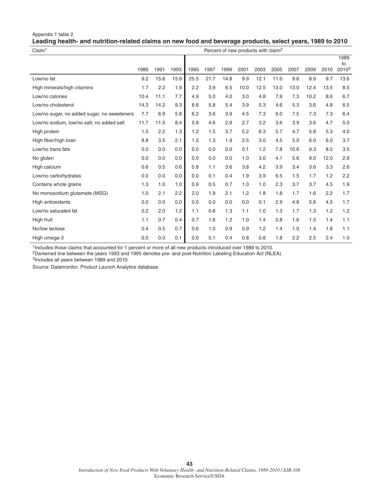#### Appendix 1 table 2 **Leading health- and nutrition-related claims on new food and beverage products, select years, 1989 to 2010**

| Claim <sup>1</sup><br>Percent of new products with claim <sup>2</sup> |      |      |      |      |      |      |      |      |      |      |      |      |                          |
|-----------------------------------------------------------------------|------|------|------|------|------|------|------|------|------|------|------|------|--------------------------|
|                                                                       | 1989 | 1991 | 1993 | 1995 | 1997 | 1999 | 2001 | 2003 | 2005 | 2007 | 2009 | 2010 | 1989<br>to<br>$2010^{3}$ |
| Low/no fat                                                            | 9.2  | 15.6 | 15.9 | 25.5 | 21.7 | 14.8 | 9.9  | 12.1 | 11.0 | 9.6  | 8.9  | 9.7  | 13.6                     |
| High minerals/high vitamins                                           | 1.7  | 2.2  | 1.9  | 2.2  | 3.9  | 6.5  | 10.0 | 12.5 | 13.0 | 13.0 | 12.4 | 13.5 | 8.5                      |
| Low/no calories                                                       | 10.4 | 11.1 | 7.7  | 4.9  | 5.0  | 4.0  | 3.0  | 4.8  | 7.9  | 7.3  | 10.2 | 8.6  | 6.7                      |
| Low/no cholesterol                                                    | 14.3 | 14.2 | 9.3  | 8.6  | 5.8  | 5.4  | 3.9  | 5.3  | 4.6  | 5.3  | 3.6  | 4.8  | 6.5                      |
| Low/no sugar, no added sugar, no sweeteners                           | 7.7  | 6.9  | 5.8  | 6.2  | 3.6  | 3.9  | 4.5  | 7.3  | 9.0  | 7.5  | 7.3  | 7.3  | 6.4                      |
| Low/no sodium, low/no salt, no added salt                             | 11.7 | 11.5 | 8.4  | 5.9  | 4.6  | 2.9  | 2.7  | 3.2  | 3.6  | 3.9  | 3.6  | 4.7  | 5.0                      |
| High protein                                                          | 1.5  | 2.2  | 1.3  | 1.2  | 1.5  | 3.7  | 5.2  | 6.3  | 5.7  | 4.7  | 5.8  | 5.3  | 4.0                      |
| High fiber/high bran                                                  | 8.8  | 3.5  | 2.1  | 1.5  | 1.3  | 1.9  | 2.5  | 3.0  | 4.5  | 5.0  | 6.0  | 6.0  | 3.7                      |
| Low/no trans fats                                                     | 0.0  | 0.0  | 0.0  | 0.0  | 0.0  | 0.0  | 0.1  | 1.2  | 7.8  | 10.6 | 9.3  | 8.5  | 3.5                      |
| No gluten                                                             | 0.0  | 0.0  | 0.0  | 0.0  | 0.0  | 0.0  | 1.0  | 3.0  | 4.1  | 5.6  | 9.0  | 12.0 | 2.9                      |
| High calcium                                                          | 0.6  | 0.5  | 0.6  | 0.8  | 1.1  | 3.6  | 3.8  | 4.2  | 3.9  | 3.4  | 3.6  | 3.3  | 2.6                      |
| Low/no carbohydrates                                                  | 0.0  | 0.0  | 0.0  | 0.0  | 0.1  | 0.4  | 1.9  | 3.9  | 6.5  | 1.5  | 1.7  | 1.2  | 2.2                      |
| Contains whole grains                                                 | 1.3  | 1.0  | 1.0  | 0.9  | 0.5  | 0.7  | 1.0  | 1.0  | 2.3  | 3.7  | 3.7  | 4.5  | 1.9                      |
| No monosodium glutamate (MSG)                                         | 1.0  | 2.1  | 2.2  | 2.0  | 1.9  | 2.1  | 1.2  | 1.8  | 1.8  | 1.7  | 1.6  | 2.2  | 1.7                      |
| High antioxidants                                                     | 0.0  | 0.0  | 0.0  | 0.0  | 0.0  | 0.0  | 0.0  | 0.1  | 2.9  | 4.8  | 5.6  | 4.5  | 1.7                      |
| Low/no saturated fat                                                  | 0.2  | 2.0  | 1.2  | 1.1  | 0.8  | 1.3  | 1.1  | 1.0  | 1.3  | 1.7  | 1.3  | 1.2  | 1.2                      |
| High fruit                                                            | 1.1  | 0.7  | 0.4  | 0.7  | 1.6  | 1.2  | 1.0  | 1.4  | 0.8  | 1.6  | 1.5  | 1.4  | 1.1                      |
| No/low lactose                                                        | 0.4  | 0.5  | 0.7  | 0.6  | 1.0  | 0.9  | 0.9  | 1.2  | 1.4  | 1.0  | 1.4  | 1.8  | 1.1                      |
| High omega-3                                                          | 0.0  | 0.0  | 0.1  | 0.0  | 0.1  | 0.4  | 0.8  | 0.8  | 1.8  | 2.2  | 2.5  | 2.4  | 1.0                      |

<sup>1</sup>Includes those claims that accounted for 1 percent or more of all new products introduced over 1989 to 2010.

2Darkened line between the years 1993 and 1995 denotes pre- and post-Nutrition Labeling Education Act (NLEA).

3Includes all years between 1989 and 2010.

Source: Datamonitor, Product Launch Analytics database.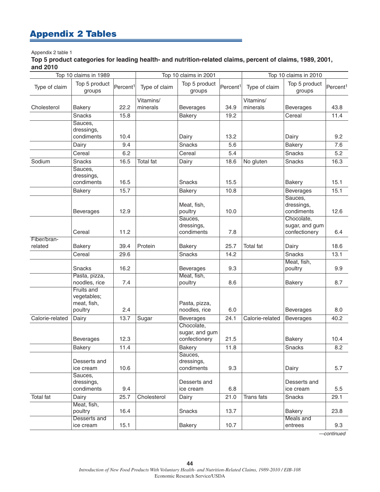## Appendix 2 Tables

#### Appendix 2 table 1

**Top 5 product categories for leading health- and nutrition-related claims, percent of claims, 1989, 2001, and 2010**

| Top 10 claims in 1989  |                                                     |                      |                       | Top 10 claims in 2001                         |                      | Top 10 claims in 2010 |                                               |                      |  |
|------------------------|-----------------------------------------------------|----------------------|-----------------------|-----------------------------------------------|----------------------|-----------------------|-----------------------------------------------|----------------------|--|
| Type of claim          | Top 5 product<br>groups                             | Percent <sup>1</sup> | Type of claim         | Top 5 product<br>groups                       | Percent <sup>1</sup> | Type of claim         | Top 5 product<br>groups                       | Percent <sup>1</sup> |  |
| Cholesterol            | <b>Bakery</b>                                       | 22.2                 | Vitamins/<br>minerals | <b>Beverages</b>                              | 34.9                 | Vitamins/<br>minerals | <b>Beverages</b>                              | 43.8                 |  |
|                        | <b>Snacks</b>                                       | 15.8                 |                       | <b>Bakery</b>                                 | 19.2                 |                       | Cereal                                        | 11.4                 |  |
|                        | Sauces,<br>dressings,<br>condiments                 | 10.4                 |                       | Dairy                                         | 13.2                 |                       | Dairy                                         | 9.2                  |  |
|                        | Dairy                                               | 9.4                  |                       | Snacks                                        | 5.6                  |                       | <b>Bakery</b>                                 | 7.6                  |  |
|                        | Cereal                                              | 6.2                  |                       | Cereal                                        | 5.4                  |                       | Snacks                                        | 5.2                  |  |
| Sodium                 | Snacks                                              | 16.5                 | <b>Total fat</b>      | Dairy                                         | 18.6                 | No gluten             | Snacks                                        | 16.3                 |  |
|                        | Sauces,<br>dressings,<br>condiments                 | 16.5                 |                       | Snacks                                        | 15.5                 |                       | <b>Bakery</b>                                 | 15.1                 |  |
|                        | <b>Bakery</b>                                       | 15.7                 |                       | <b>Bakery</b>                                 | 10.8                 |                       | <b>Beverages</b>                              | 15.1                 |  |
|                        | <b>Beverages</b>                                    | 12.9                 |                       | Meat, fish,<br>poultry                        | 10.0                 |                       | Sauces,<br>dressings,<br>condiments           | 12.6                 |  |
|                        | Cereal                                              | 11.2                 |                       | Sauces,<br>dressings,<br>condiments           | 7.8                  |                       | Chocolate,<br>sugar, and gum<br>confectionery | 6.4                  |  |
| Fiber/bran-<br>related | <b>Bakery</b>                                       | 39.4                 | Protein               | <b>Bakery</b>                                 | 25.7                 | <b>Total fat</b>      | Dairy                                         | 18.6                 |  |
|                        | Cereal                                              |                      |                       | <b>Snacks</b>                                 | 14.2                 |                       | <b>Snacks</b>                                 |                      |  |
|                        |                                                     | 29.6                 |                       |                                               |                      |                       | Meat, fish,                                   | 13.1                 |  |
|                        | Snacks                                              | 16.2                 |                       | <b>Beverages</b><br>Meat, fish,               | 9.3                  |                       | poultry                                       | 9.9                  |  |
|                        | Pasta, pizza,<br>noodles, rice                      | 7.4                  |                       | poultry                                       | 8.6                  |                       | <b>Bakery</b>                                 | 8.7                  |  |
|                        | Fruits and<br>vegetables;<br>meat, fish,<br>poultry | 2.4                  |                       | Pasta, pizza,<br>noodles, rice                | 6.0                  |                       | <b>Beverages</b>                              | 8.0                  |  |
| Calorie-related        | Dairy                                               | 13.7                 | Sugar                 | <b>Beverages</b>                              | 24.1                 | Calorie-related       | <b>Beverages</b>                              | 40.2                 |  |
|                        | <b>Beverages</b>                                    | 12.3                 |                       | Chocolate,<br>sugar, and gum<br>confectionery | 21.5                 |                       | <b>Bakery</b>                                 | 10.4                 |  |
|                        | Bakery                                              | 11.4                 |                       | <b>Bakery</b>                                 | 11.8                 |                       | Snacks                                        | 8.2                  |  |
|                        | Desserts and<br>ice cream                           | 10.6                 |                       | Sauces,<br>dressings,<br>condiments           | 9.3                  |                       | Dairy                                         | 5.7                  |  |
|                        | Sauces,<br>dressings,<br>condiments                 | 9.4                  |                       | Desserts and<br>ice cream                     | 6.8                  |                       | Desserts and<br>ice cream                     | 5.5                  |  |
| Total fat              | Dairy                                               | 25.7                 | Cholesterol           | Dairy                                         | 21.0                 | <b>Trans</b> fats     | Snacks                                        | 29.1                 |  |
|                        | Meat, fish,<br>poultry                              | 16.4                 |                       | Snacks                                        | 13.7                 |                       | <b>Bakery</b>                                 | 23.8                 |  |
|                        | Desserts and<br>ice cream                           | 15.1                 |                       | <b>Bakery</b>                                 | 10.7                 |                       | Meals and<br>entrees                          | 9.3                  |  |

*—continued*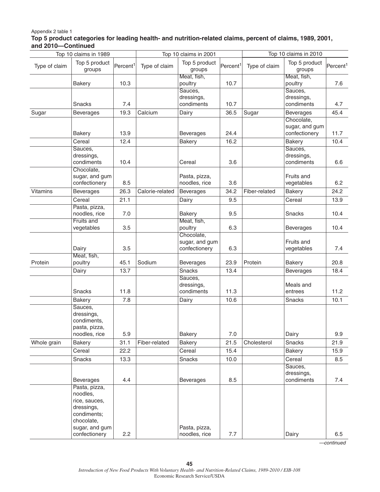#### Appendix 2 table 1

#### **Top 5 product categories for leading health- and nutrition-related claims, percent of claims, 1989, 2001, and 2010—Continued**

| Top 10 claims in 1989 |                                                                                                                          |                      | Top 10 claims in 2001 |                                               | Top 10 claims in 2010 |               |                                               |                      |
|-----------------------|--------------------------------------------------------------------------------------------------------------------------|----------------------|-----------------------|-----------------------------------------------|-----------------------|---------------|-----------------------------------------------|----------------------|
| Type of claim         | Top 5 product<br>groups                                                                                                  | Percent <sup>1</sup> | Type of claim         | Top 5 product<br>groups                       | Percent <sup>1</sup>  | Type of claim | Top 5 product<br>groups                       | Percent <sup>1</sup> |
|                       | <b>Bakery</b>                                                                                                            | 10.3                 |                       | Meat, fish,<br>poultry                        | 10.7                  |               | Meat, fish,<br>poultry                        | 7.6                  |
|                       | Snacks                                                                                                                   | 7.4                  |                       | Sauces,<br>dressings,<br>condiments           | 10.7                  |               | Sauces,<br>dressings,<br>condiments           | 4.7                  |
| Sugar                 | <b>Beverages</b>                                                                                                         | 19.3                 | Calcium               | Dairy                                         | 36.5                  | Sugar         | <b>Beverages</b>                              | 45.4                 |
|                       | <b>Bakery</b>                                                                                                            | 13.9                 |                       | <b>Beverages</b>                              | 24.4                  |               | Chocolate,<br>sugar, and gum<br>confectionery | 11.7                 |
|                       | Cereal                                                                                                                   | 12.4                 |                       | <b>Bakery</b>                                 | 16.2                  |               | <b>Bakery</b>                                 | 10.4                 |
|                       | Sauces,<br>dressings,<br>condiments                                                                                      | 10.4                 |                       | Cereal                                        | 3.6                   |               | Sauces,<br>dressings,<br>condiments           | 6.6                  |
|                       | Chocolate,<br>sugar, and gum<br>confectionery                                                                            | 8.5                  |                       | Pasta, pizza,<br>noodles, rice                | 3.6                   |               | Fruits and<br>vegetables                      | 6.2                  |
| Vitamins              | <b>Beverages</b>                                                                                                         | 26.3                 | Calorie-related       | Beverages                                     | 34.2                  | Fiber-related | <b>Bakery</b>                                 | 24.2                 |
|                       | Cereal                                                                                                                   | 21.1                 |                       | Dairy                                         | 9.5                   |               | Cereal                                        | 13.9                 |
|                       | Pasta, pizza,<br>noodles, rice                                                                                           | 7.0                  |                       | <b>Bakery</b>                                 | 9.5                   |               | Snacks                                        | 10.4                 |
|                       | Fruits and<br>vegetables                                                                                                 | 3.5                  |                       | Meat, fish,<br>poultry                        | 6.3                   |               | <b>Beverages</b>                              | 10.4                 |
|                       | Dairy                                                                                                                    | 3.5                  |                       | Chocolate,<br>sugar, and gum<br>confectionery | 6.3                   |               | Fruits and<br>vegetables                      | 7.4                  |
| Protein               | Meat, fish,<br>poultry                                                                                                   | 45.1                 | Sodium                | <b>Beverages</b>                              | 23.9                  | Protein       | <b>Bakery</b>                                 | 20.8                 |
|                       | Dairy                                                                                                                    | 13.7                 |                       | Snacks                                        | 13.4                  |               | <b>Beverages</b>                              | 18.4                 |
|                       | Snacks                                                                                                                   | 11.8                 |                       | Sauces,<br>dressings,<br>condiments           | 11.3                  |               | Meals and<br>entrees                          | 11.2                 |
|                       | <b>Bakery</b>                                                                                                            | 7.8                  |                       | Dairy                                         | 10.6                  |               | Snacks                                        | 10.1                 |
|                       | Sauces,<br>dressings,<br>condiments,<br>pasta, pizza,<br>noodles, rice                                                   | 5.9                  |                       | <b>Bakery</b>                                 | 7.0                   |               | Dairy                                         | 9.9                  |
| Whole grain           | <b>Bakery</b>                                                                                                            | 31.1                 | Fiber-related         | <b>Bakery</b>                                 | 21.5                  | Cholesterol   | <b>Snacks</b>                                 | 21.9                 |
|                       | Cereal                                                                                                                   | 22.2                 |                       | Cereal                                        | 15.4                  |               | <b>Bakery</b>                                 | 15.9                 |
|                       | Snacks                                                                                                                   | 13.3                 |                       | Snacks                                        | 10.0                  |               | Cereal                                        | 8.5                  |
|                       | <b>Beverages</b>                                                                                                         | 4.4                  |                       | <b>Beverages</b>                              | 8.5                   |               | Sauces,<br>dressings,<br>condiments           | 7.4                  |
|                       | Pasta, pizza,<br>noodles,<br>rice, sauces,<br>dressings,<br>condiments;<br>chocolate,<br>sugar, and gum<br>confectionery | 2.2                  |                       | Pasta, pizza,<br>noodles, rice                | 7.7                   |               | Dairy                                         | 6.5                  |

*—continued*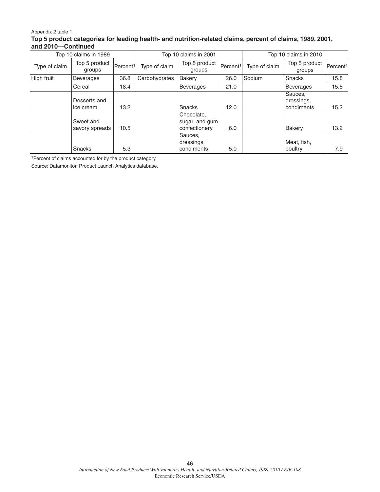#### Appendix 2 table 1 **Top 5 product categories for leading health- and nutrition-related claims, percent of claims, 1989, 2001, and 2010—Continued**

|               | Top 10 claims in 1989       |                      |               | Top 10 claims in 2001                         |                       | Top 10 claims in 2010 |                                     |                      |  |
|---------------|-----------------------------|----------------------|---------------|-----------------------------------------------|-----------------------|-----------------------|-------------------------------------|----------------------|--|
| Type of claim | Top 5 product<br>groups     | Percent <sup>1</sup> | Type of claim | Top 5 product<br>groups                       | Percent <sup>11</sup> | Type of claim         | Top 5 product<br>groups             | Percent <sup>1</sup> |  |
| High fruit    | <b>Beverages</b>            | 36.8                 | Carbohydrates | Bakery                                        | 26.0                  | Sodium                | Snacks                              | 15.8                 |  |
|               | Cereal                      | 18.4                 |               | <b>Beverages</b>                              | 21.0                  |                       | <b>Beverages</b>                    | 15.5                 |  |
|               | Desserts and<br>ice cream   | 13.2                 |               | Snacks                                        | 12.0                  |                       | Sauces,<br>dressings,<br>condiments | 15.2                 |  |
|               | Sweet and<br>savory spreads | 10.5                 |               | Chocolate,<br>sugar, and gum<br>confectionery | 6.0                   |                       | Bakery                              | 13.2                 |  |
|               | Snacks                      | 5.3                  |               | Sauces,<br>dressings,<br>condiments           | 5.0                   |                       | Meat, fish,<br>poultry              | 7.9                  |  |

<sup>1</sup> Percent of claims accounted for by the product category.

Source: Datamonitor, Product Launch Analytics database.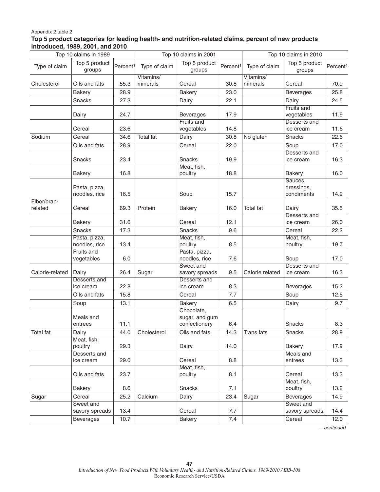#### Appendix 2 table 2

#### **Top 5 product categories for leading health- and nutrition-related claims, percent of new products introduced, 1989, 2001, and 2010**

| Top 10 claims in 1989 |                                |                      | Top 10 claims in 2001 |                                               |                      | Top 10 claims in 2010 |                                          |                      |
|-----------------------|--------------------------------|----------------------|-----------------------|-----------------------------------------------|----------------------|-----------------------|------------------------------------------|----------------------|
| Type of claim         | Top 5 product<br>groups        | Percent <sup>1</sup> | Type of claim         | Top 5 product<br>groups                       | Percent <sup>1</sup> | Type of claim         | Top 5 product<br>groups                  | Percent <sup>1</sup> |
|                       |                                |                      | Vitamins/             |                                               |                      | Vitamins/             |                                          |                      |
| Cholesterol           | Oils and fats                  | 55.3                 | minerals              | Cereal                                        | 30.8                 | minerals              | Cereal                                   | 70.9                 |
|                       | <b>Bakery</b>                  | 28.9                 |                       | <b>Bakery</b>                                 | 23.0                 |                       | <b>Beverages</b>                         | 25.8                 |
|                       | <b>Snacks</b>                  | 27.3                 |                       | Dairy                                         | 22.1                 |                       | Dairy                                    | 24.5                 |
|                       | Dairy                          | 24.7                 |                       | <b>Beverages</b><br>Fruits and                | 17.9                 |                       | Fruits and<br>vegetables<br>Desserts and | 11.9                 |
|                       | Cereal                         | 23.6                 |                       | vegetables                                    | 14.8                 |                       | ice cream                                | 11.6                 |
| Sodium                | Cereal                         | 34.6                 | <b>Total fat</b>      | Dairy                                         | 30.8                 | No gluten             | Snacks                                   | 22.6                 |
|                       | Oils and fats                  | 28.9                 |                       | Cereal                                        | 22.0                 |                       | Soup                                     | 17.0                 |
|                       | Snacks                         | 23.4                 |                       | Snacks                                        | 19.9                 |                       | Desserts and<br>ice cream                | 16.3                 |
|                       | <b>Bakery</b>                  | 16.8                 |                       | Meat, fish,<br>poultry                        | 18.8                 |                       | <b>Bakery</b>                            | 16.0                 |
|                       | Pasta, pizza,<br>noodles, rice | 16.5                 |                       | Soup                                          | 15.7                 |                       | Sauces,<br>dressings,<br>condiments      | 14.9                 |
| Fiber/bran-           |                                |                      |                       |                                               |                      |                       |                                          |                      |
| related               | Cereal<br><b>Bakery</b>        | 69.3<br>31.6         | Protein               | <b>Bakery</b><br>Cereal                       | 16.0<br>12.1         | Total fat             | Dairy<br>Desserts and<br>ice cream       | 35.5<br>26.0         |
|                       | <b>Snacks</b>                  |                      |                       | <b>Snacks</b>                                 |                      |                       |                                          |                      |
|                       |                                | 17.3                 |                       |                                               | 9.6                  |                       | Cereal<br>Meat, fish,                    | 22.2                 |
|                       | Pasta, pizza,<br>noodles, rice | 13.4                 |                       | Meat, fish,<br>poultry                        | 8.5                  |                       | poultry                                  | 19.7                 |
|                       | Fruits and<br>vegetables       | 6.0                  |                       | Pasta, pizza,<br>noodles, rice                | 7.6                  |                       | Soup                                     | 17.0                 |
| Calorie-related       | Dairy                          | 26.4                 | Sugar                 | Sweet and<br>savory spreads                   | 9.5                  | Calorie related       | Desserts and<br>ice cream                | 16.3                 |
|                       | Desserts and<br>ice cream      | 22.8                 |                       | Desserts and<br>ice cream                     | 8.3                  |                       | <b>Beverages</b>                         | 15.2                 |
|                       | Oils and fats                  | 15.8                 |                       | Cereal                                        | 7.7                  |                       | Soup                                     | 12.5                 |
|                       | Soup                           | 13.1                 |                       | <b>Bakery</b>                                 | 6.5                  |                       | Dairy                                    | 9.7                  |
|                       | Meals and<br>entrees           | 11.1                 |                       | Chocolate,<br>sugar, and gum<br>confectionery | 6.4                  |                       | Snacks                                   | 8.3                  |
| Total fat             | Dairy                          | 44.0                 | Cholesterol           | Oils and fats                                 | 14.3                 | Trans fats            | Snacks                                   | 28.9                 |
|                       | Meat, fish,<br>poultry         | 29.3                 |                       | Dairy                                         | 14.0                 |                       | <b>Bakery</b>                            | 17.9                 |
|                       | Desserts and<br>ice cream      | 29.0                 |                       | Cereal                                        | 8.8                  |                       | Meals and<br>entrees                     | 13.3                 |
|                       | Oils and fats                  | 23.7                 |                       | Meat, fish,<br>poultry                        | 8.1                  |                       | Cereal                                   | 13.3                 |
|                       | <b>Bakery</b>                  | 8.6                  |                       | Snacks                                        | 7.1                  |                       | Meat, fish,<br>poultry                   | 13.2                 |
| Sugar                 | Cereal                         | 25.2                 | Calcium               | Dairy                                         | 23.4                 | Sugar                 | <b>Beverages</b>                         | 14.9                 |
|                       | Sweet and<br>savory spreads    | 13.4                 |                       | Cereal                                        | 7.7                  |                       | Sweet and<br>savory spreads              | 14.4                 |
|                       | <b>Beverages</b>               | 10.7                 |                       | <b>Bakery</b>                                 | 7.4                  |                       | Cereal                                   | 12.0                 |

*—continued*